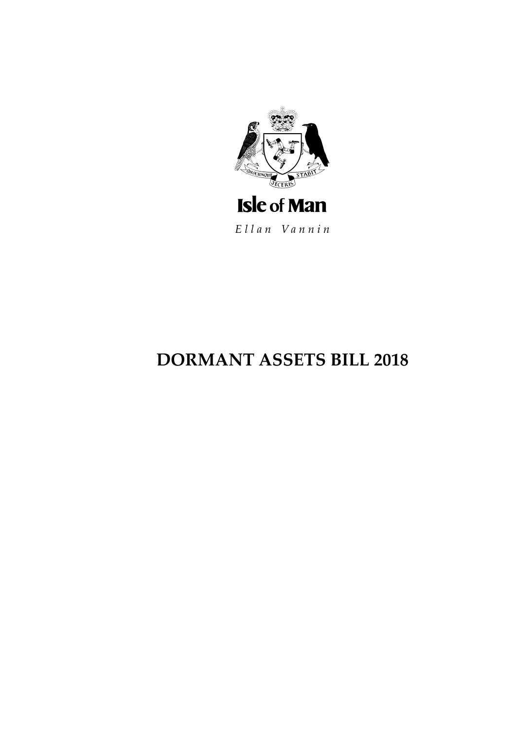

Ellan Vannin

# **DORMANT ASSETS BILL 2018**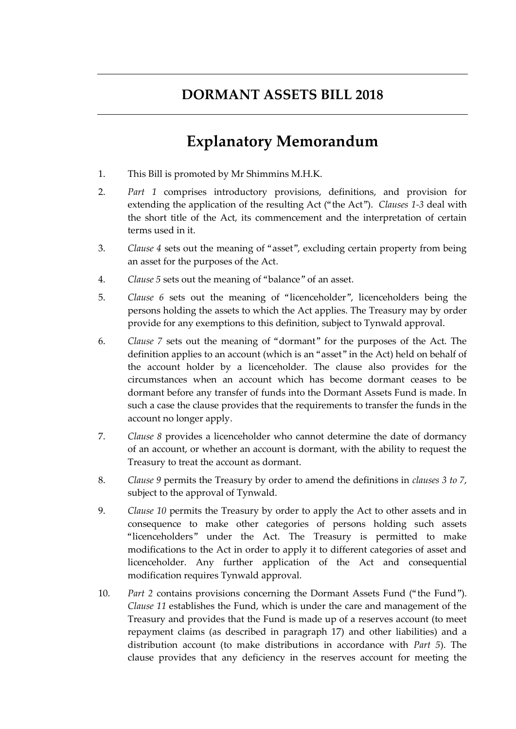# **DORMANT ASSETS BILL 2018**

# **Explanatory Memorandum**

- 1. This Bill is promoted by Mr Shimmins M.H.K.
- 2. *Part 1* comprises introductory provisions, definitions, and provision for extending the application of the resulting Act ("the Act"). *Clauses 1-3* deal with the short title of the Act, its commencement and the interpretation of certain terms used in it.
- 3. *Clause 4* sets out the meaning of "asset", excluding certain property from being an asset for the purposes of the Act.
- 4. *Clause 5* sets out the meaning of "balance" of an asset.
- 5. *Clause 6* sets out the meaning of "licenceholder", licenceholders being the persons holding the assets to which the Act applies. The Treasury may by order provide for any exemptions to this definition, subject to Tynwald approval.
- 6. *Clause 7* sets out the meaning of "dormant" for the purposes of the Act. The definition applies to an account (which is an "asset" in the Act) held on behalf of the account holder by a licenceholder. The clause also provides for the circumstances when an account which has become dormant ceases to be dormant before any transfer of funds into the Dormant Assets Fund is made. In such a case the clause provides that the requirements to transfer the funds in the account no longer apply.
- 7. *Clause 8* provides a licenceholder who cannot determine the date of dormancy of an account, or whether an account is dormant, with the ability to request the Treasury to treat the account as dormant.
- 8. *Clause 9* permits the Treasury by order to amend the definitions in *clauses 3 to 7*, subject to the approval of Tynwald.
- 9. *Clause 10* permits the Treasury by order to apply the Act to other assets and in consequence to make other categories of persons holding such assets "licenceholders" under the Act. The Treasury is permitted to make modifications to the Act in order to apply it to different categories of asset and licenceholder. Any further application of the Act and consequential modification requires Tynwald approval.
- 10. *Part 2* contains provisions concerning the Dormant Assets Fund ("the Fund"). *Clause 11* establishes the Fund, which is under the care and management of the Treasury and provides that the Fund is made up of a reserves account (to meet repayment claims (as described in paragraph 17) and other liabilities) and a distribution account (to make distributions in accordance with *Part 5*). The clause provides that any deficiency in the reserves account for meeting the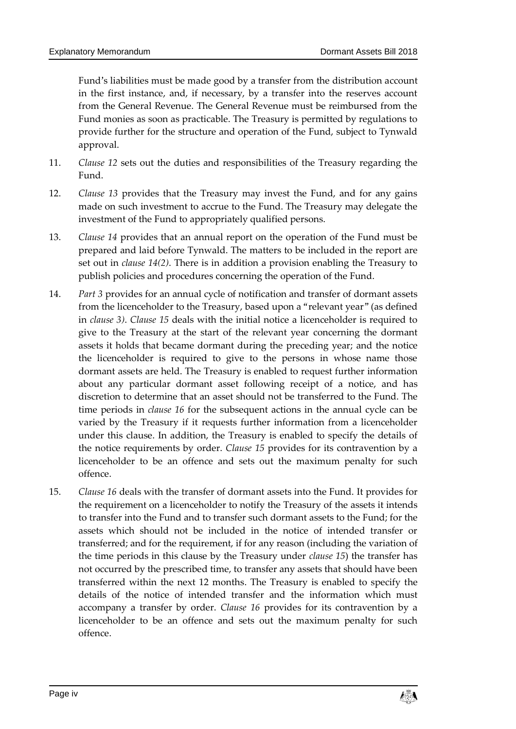Fund's liabilities must be made good by a transfer from the distribution account in the first instance, and, if necessary, by a transfer into the reserves account from the General Revenue. The General Revenue must be reimbursed from the Fund monies as soon as practicable. The Treasury is permitted by regulations to provide further for the structure and operation of the Fund, subject to Tynwald approval.

- 11. *Clause 12* sets out the duties and responsibilities of the Treasury regarding the Fund.
- 12. *Clause 13* provides that the Treasury may invest the Fund, and for any gains made on such investment to accrue to the Fund. The Treasury may delegate the investment of the Fund to appropriately qualified persons.
- 13. *Clause 14* provides that an annual report on the operation of the Fund must be prepared and laid before Tynwald. The matters to be included in the report are set out in *clause 14(2)*. There is in addition a provision enabling the Treasury to publish policies and procedures concerning the operation of the Fund.
- 14. *Part 3* provides for an annual cycle of notification and transfer of dormant assets from the licenceholder to the Treasury, based upon a "relevant year" (as defined in *clause 3)*. *Clause 15* deals with the initial notice a licenceholder is required to give to the Treasury at the start of the relevant year concerning the dormant assets it holds that became dormant during the preceding year; and the notice the licenceholder is required to give to the persons in whose name those dormant assets are held. The Treasury is enabled to request further information about any particular dormant asset following receipt of a notice, and has discretion to determine that an asset should not be transferred to the Fund. The time periods in *clause 16* for the subsequent actions in the annual cycle can be varied by the Treasury if it requests further information from a licenceholder under this clause. In addition, the Treasury is enabled to specify the details of the notice requirements by order. *Clause 15* provides for its contravention by a licenceholder to be an offence and sets out the maximum penalty for such offence.
- 15. *Clause 16* deals with the transfer of dormant assets into the Fund. It provides for the requirement on a licenceholder to notify the Treasury of the assets it intends to transfer into the Fund and to transfer such dormant assets to the Fund; for the assets which should not be included in the notice of intended transfer or transferred; and for the requirement, if for any reason (including the variation of the time periods in this clause by the Treasury under *clause 15*) the transfer has not occurred by the prescribed time, to transfer any assets that should have been transferred within the next 12 months. The Treasury is enabled to specify the details of the notice of intended transfer and the information which must accompany a transfer by order. *Clause 16* provides for its contravention by a licenceholder to be an offence and sets out the maximum penalty for such offence.

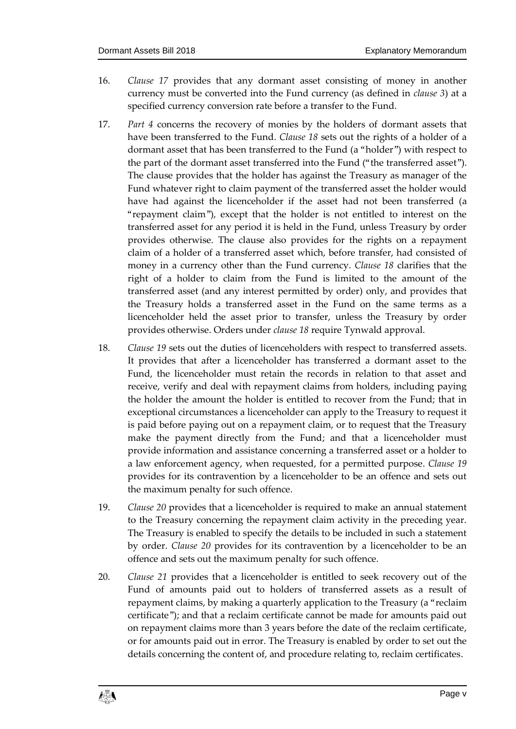- 16. *Clause 17* provides that any dormant asset consisting of money in another currency must be converted into the Fund currency (as defined in *clause 3*) at a specified currency conversion rate before a transfer to the Fund.
- 17. *Part 4* concerns the recovery of monies by the holders of dormant assets that have been transferred to the Fund. *Clause 18* sets out the rights of a holder of a dormant asset that has been transferred to the Fund (a "holder") with respect to the part of the dormant asset transferred into the Fund ("the transferred asset"). The clause provides that the holder has against the Treasury as manager of the Fund whatever right to claim payment of the transferred asset the holder would have had against the licenceholder if the asset had not been transferred (a "repayment claim"), except that the holder is not entitled to interest on the transferred asset for any period it is held in the Fund, unless Treasury by order provides otherwise. The clause also provides for the rights on a repayment claim of a holder of a transferred asset which, before transfer, had consisted of money in a currency other than the Fund currency. *Clause 18* clarifies that the right of a holder to claim from the Fund is limited to the amount of the transferred asset (and any interest permitted by order) only, and provides that the Treasury holds a transferred asset in the Fund on the same terms as a licenceholder held the asset prior to transfer, unless the Treasury by order provides otherwise. Orders under *clause 18* require Tynwald approval.
- 18. *Clause 19* sets out the duties of licenceholders with respect to transferred assets. It provides that after a licenceholder has transferred a dormant asset to the Fund, the licenceholder must retain the records in relation to that asset and receive, verify and deal with repayment claims from holders, including paying the holder the amount the holder is entitled to recover from the Fund; that in exceptional circumstances a licenceholder can apply to the Treasury to request it is paid before paying out on a repayment claim, or to request that the Treasury make the payment directly from the Fund; and that a licenceholder must provide information and assistance concerning a transferred asset or a holder to a law enforcement agency, when requested, for a permitted purpose. *Clause 19* provides for its contravention by a licenceholder to be an offence and sets out the maximum penalty for such offence.
- 19. *Clause 20* provides that a licenceholder is required to make an annual statement to the Treasury concerning the repayment claim activity in the preceding year. The Treasury is enabled to specify the details to be included in such a statement by order. *Clause 20* provides for its contravention by a licenceholder to be an offence and sets out the maximum penalty for such offence.
- 20. *Clause 21* provides that a licenceholder is entitled to seek recovery out of the Fund of amounts paid out to holders of transferred assets as a result of repayment claims, by making a quarterly application to the Treasury (a "reclaim certificate"); and that a reclaim certificate cannot be made for amounts paid out on repayment claims more than 3 years before the date of the reclaim certificate, or for amounts paid out in error. The Treasury is enabled by order to set out the details concerning the content of, and procedure relating to, reclaim certificates.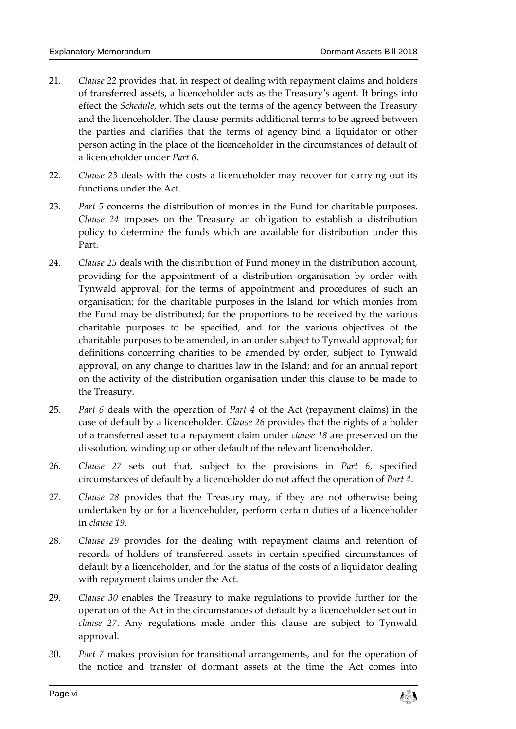- 21. *Clause 22* provides that, in respect of dealing with repayment claims and holders of transferred assets, a licenceholder acts as the Treasury's agent. It brings into effect the *Schedule*, which sets out the terms of the agency between the Treasury and the licenceholder. The clause permits additional terms to be agreed between the parties and clarifies that the terms of agency bind a liquidator or other person acting in the place of the licenceholder in the circumstances of default of a licenceholder under *Part 6*.
- 22. *Clause 23* deals with the costs a licenceholder may recover for carrying out its functions under the Act.
- 23. *Part 5* concerns the distribution of monies in the Fund for charitable purposes. *Clause 24* imposes on the Treasury an obligation to establish a distribution policy to determine the funds which are available for distribution under this Part.
- 24. *Clause 25* deals with the distribution of Fund money in the distribution account, providing for the appointment of a distribution organisation by order with Tynwald approval; for the terms of appointment and procedures of such an organisation; for the charitable purposes in the Island for which monies from the Fund may be distributed; for the proportions to be received by the various charitable purposes to be specified, and for the various objectives of the charitable purposes to be amended, in an order subject to Tynwald approval; for definitions concerning charities to be amended by order, subject to Tynwald approval, on any change to charities law in the Island; and for an annual report on the activity of the distribution organisation under this clause to be made to the Treasury.
- 25. *Part 6* deals with the operation of *Part 4* of the Act (repayment claims) in the case of default by a licenceholder. *Clause 26* provides that the rights of a holder of a transferred asset to a repayment claim under *clause 18* are preserved on the dissolution, winding up or other default of the relevant licenceholder.
- 26. *Clause 27* sets out that, subject to the provisions in *Part 6*, specified circumstances of default by a licenceholder do not affect the operation of *Part 4*.
- 27. *Clause 28* provides that the Treasury may, if they are not otherwise being undertaken by or for a licenceholder, perform certain duties of a licenceholder in *clause 19*.
- 28. *Clause 29* provides for the dealing with repayment claims and retention of records of holders of transferred assets in certain specified circumstances of default by a licenceholder, and for the status of the costs of a liquidator dealing with repayment claims under the Act.
- 29. *Clause 30* enables the Treasury to make regulations to provide further for the operation of the Act in the circumstances of default by a licenceholder set out in *clause 27*. Any regulations made under this clause are subject to Tynwald approval.
- 30. *Part 7* makes provision for transitional arrangements, and for the operation of the notice and transfer of dormant assets at the time the Act comes into

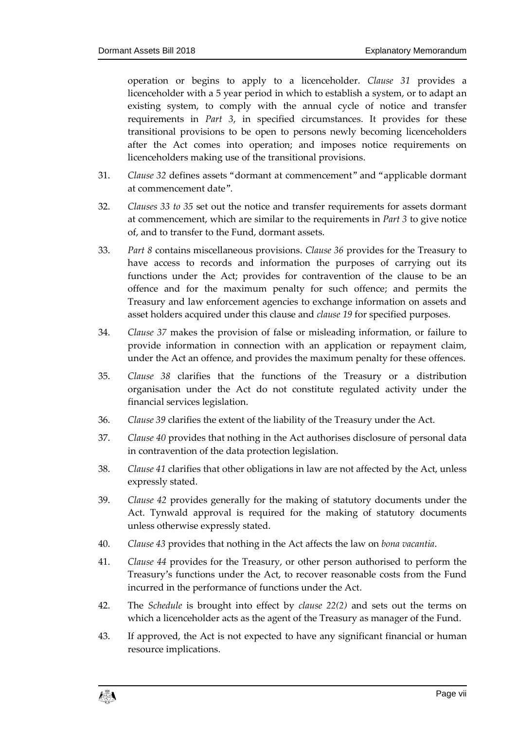operation or begins to apply to a licenceholder. *Clause 31* provides a licenceholder with a 5 year period in which to establish a system, or to adapt an existing system, to comply with the annual cycle of notice and transfer requirements in *Part 3*, in specified circumstances. It provides for these transitional provisions to be open to persons newly becoming licenceholders after the Act comes into operation; and imposes notice requirements on licenceholders making use of the transitional provisions.

- 31. *Clause 32* defines assets "dormant at commencement" and "applicable dormant at commencement date".
- 32. *Clauses 33 to 35* set out the notice and transfer requirements for assets dormant at commencement, which are similar to the requirements in *Part 3* to give notice of, and to transfer to the Fund, dormant assets.
- 33. *Part 8* contains miscellaneous provisions. *Clause 36* provides for the Treasury to have access to records and information the purposes of carrying out its functions under the Act; provides for contravention of the clause to be an offence and for the maximum penalty for such offence; and permits the Treasury and law enforcement agencies to exchange information on assets and asset holders acquired under this clause and *clause 19* for specified purposes.
- 34. *Clause 37* makes the provision of false or misleading information, or failure to provide information in connection with an application or repayment claim, under the Act an offence, and provides the maximum penalty for these offences.
- 35. *Clause 38* clarifies that the functions of the Treasury or a distribution organisation under the Act do not constitute regulated activity under the financial services legislation.
- 36. *Clause 39* clarifies the extent of the liability of the Treasury under the Act.
- 37. *Clause 40* provides that nothing in the Act authorises disclosure of personal data in contravention of the data protection legislation.
- 38. *Clause 41* clarifies that other obligations in law are not affected by the Act, unless expressly stated.
- 39. *Clause 42* provides generally for the making of statutory documents under the Act. Tynwald approval is required for the making of statutory documents unless otherwise expressly stated.
- 40. *Clause 43* provides that nothing in the Act affects the law on *bona vacantia*.
- 41. *Clause 44* provides for the Treasury, or other person authorised to perform the Treasury's functions under the Act, to recover reasonable costs from the Fund incurred in the performance of functions under the Act.
- 42. The *Schedule* is brought into effect by *clause 22(2)* and sets out the terms on which a licenceholder acts as the agent of the Treasury as manager of the Fund.
- 43. If approved, the Act is not expected to have any significant financial or human resource implications.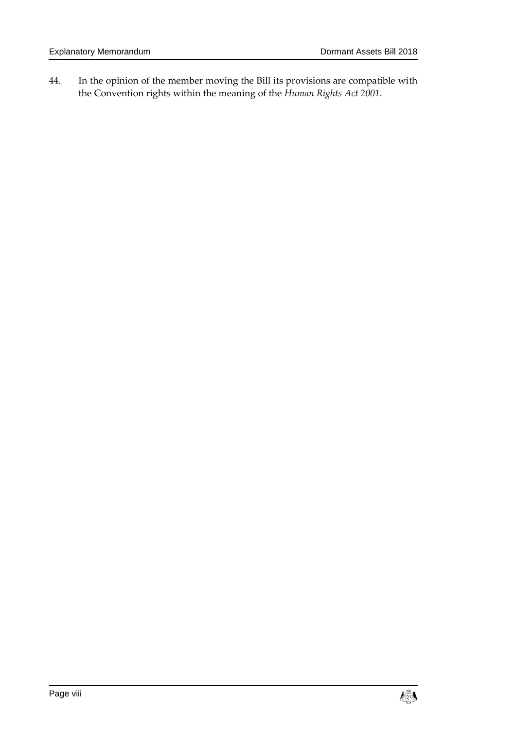44. In the opinion of the member moving the Bill its provisions are compatible with the Convention rights within the meaning of the *Human Rights Act 2001*.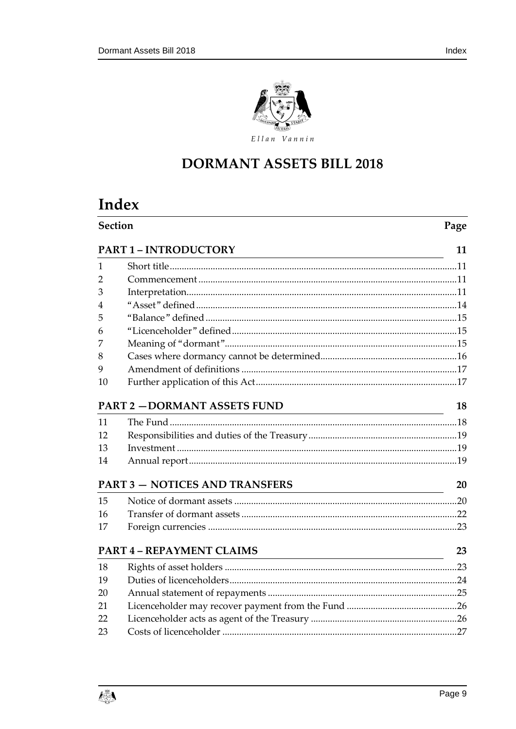

# **DORMANT ASSETS BILL 2018**

# Index

|    | <b>Section</b><br>Page                                                                                                                                          |    |  |  |  |
|----|-----------------------------------------------------------------------------------------------------------------------------------------------------------------|----|--|--|--|
|    | <b>PART 1-INTRODUCTORY</b><br><u> 1980 - Johann Stoff, fransk politik (d. 1980)</u>                                                                             | 11 |  |  |  |
| 1  |                                                                                                                                                                 |    |  |  |  |
| 2  |                                                                                                                                                                 |    |  |  |  |
| 3  |                                                                                                                                                                 |    |  |  |  |
| 4  |                                                                                                                                                                 |    |  |  |  |
| 5  |                                                                                                                                                                 |    |  |  |  |
| 6  |                                                                                                                                                                 |    |  |  |  |
| 7  |                                                                                                                                                                 |    |  |  |  |
| 8  |                                                                                                                                                                 |    |  |  |  |
| 9  |                                                                                                                                                                 |    |  |  |  |
| 10 |                                                                                                                                                                 |    |  |  |  |
|    | <b>PART 2 - DORMANT ASSETS FUND</b>                                                                                                                             | 18 |  |  |  |
| 11 |                                                                                                                                                                 |    |  |  |  |
| 12 |                                                                                                                                                                 |    |  |  |  |
| 13 |                                                                                                                                                                 |    |  |  |  |
| 14 |                                                                                                                                                                 |    |  |  |  |
|    | <b>PART 3 - NOTICES AND TRANSFERS</b><br><u> 1989 - Johann Stoff, deutscher Stoffen und der Stoffen und der Stoffen und der Stoffen und der Stoffen und der</u> | 20 |  |  |  |
| 15 |                                                                                                                                                                 |    |  |  |  |
| 16 |                                                                                                                                                                 |    |  |  |  |
| 17 |                                                                                                                                                                 |    |  |  |  |
|    | <b>PART 4 - REPAYMENT CLAIMS</b><br><u> 1989 - Johann Stoff, deutscher Stoff, der Stoff, der Stoff, der Stoff, der Stoff, der Stoff, der Stoff, der </u>        | 23 |  |  |  |
| 18 |                                                                                                                                                                 |    |  |  |  |
| 19 |                                                                                                                                                                 |    |  |  |  |
| 20 |                                                                                                                                                                 |    |  |  |  |
| 21 |                                                                                                                                                                 |    |  |  |  |
| 22 |                                                                                                                                                                 |    |  |  |  |
| 23 |                                                                                                                                                                 |    |  |  |  |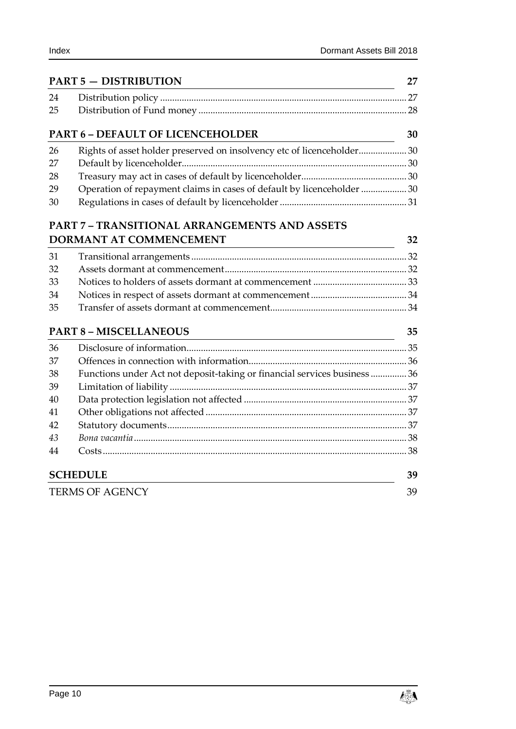|    | <b>PART 5 - DISTRIBUTION</b>                                              | 27 |
|----|---------------------------------------------------------------------------|----|
| 24 |                                                                           |    |
| 25 |                                                                           |    |
|    | <b>PART 6 - DEFAULT OF LICENCEHOLDER</b>                                  | 30 |
| 26 | Rights of asset holder preserved on insolvency etc of licenceholder 30    |    |
| 27 |                                                                           |    |
| 28 |                                                                           |    |
| 29 | Operation of repayment claims in cases of default by licenceholder  30    |    |
| 30 |                                                                           |    |
|    | <b>PART 7 - TRANSITIONAL ARRANGEMENTS AND ASSETS</b>                      |    |
|    | DORMANT AT COMMENCEMENT                                                   | 32 |
| 31 |                                                                           |    |
| 32 |                                                                           |    |
| 33 |                                                                           |    |
| 34 |                                                                           |    |
| 35 |                                                                           |    |
|    | <b>PART 8 - MISCELLANEOUS</b>                                             | 35 |
| 36 |                                                                           |    |
| 37 |                                                                           |    |
| 38 | Functions under Act not deposit-taking or financial services business  36 |    |
| 39 |                                                                           |    |
| 40 |                                                                           |    |
| 41 |                                                                           |    |
| 42 |                                                                           |    |
| 43 |                                                                           |    |

| <b>SCHEDULE</b> | 39 |
|-----------------|----|
| TERMS OF AGENCY | 39 |

Costs [...............................................................................................................................](#page-37-1) 38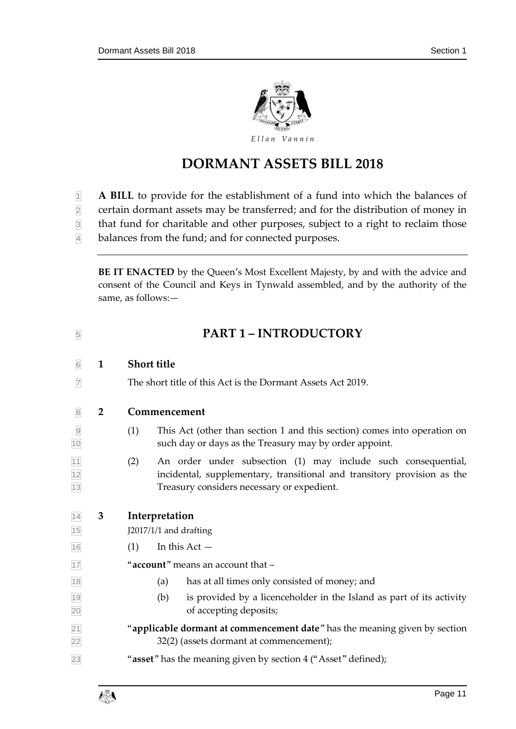

# **DORMANT ASSETS BILL 2018**

- **A BILL** to provide for the establishment of a fund into which the balances of
- certain dormant assets may be transferred; and for the distribution of money in
- that fund for charitable and other purposes, subject to a right to reclaim those
- balances from the fund; and for connected purposes.

**BE IT ENACTED** by the Queen's Most Excellent Majesty, by and with the advice and consent of the Council and Keys in Tynwald assembled, and by the authority of the same, as follows:—

<span id="page-10-3"></span><span id="page-10-2"></span><span id="page-10-1"></span><span id="page-10-0"></span>

| $\overline{5}$                  |                | <b>PART 1 - INTRODUCTORY</b>                                                                                                                                                                  |
|---------------------------------|----------------|-----------------------------------------------------------------------------------------------------------------------------------------------------------------------------------------------|
| $\boxed{6}$                     | $\mathbf{1}$   | <b>Short title</b>                                                                                                                                                                            |
| $\overline{7}$                  |                | The short title of this Act is the Dormant Assets Act 2019.                                                                                                                                   |
| $\mathbf{8}$                    | $\overline{2}$ | Commencement                                                                                                                                                                                  |
| $\overline{9}$<br>10            |                | (1)<br>This Act (other than section 1 and this section) comes into operation on<br>such day or days as the Treasury may by order appoint.                                                     |
| $\frac{11}{12}$ $\frac{12}{13}$ |                | An order under subsection (1) may include such consequential,<br>(2)<br>incidental, supplementary, transitional and transitory provision as the<br>Treasury considers necessary or expedient. |
| $\overline{14}$                 | 3              | Interpretation                                                                                                                                                                                |
| 15                              |                | J2017/1/1 and drafting                                                                                                                                                                        |
| 16                              |                | In this $Act -$<br>(1)                                                                                                                                                                        |
| 17                              |                | "account" means an account that -                                                                                                                                                             |
| 18                              |                | has at all times only consisted of money; and<br>(a)                                                                                                                                          |
| 19<br>20                        |                | (b)<br>is provided by a licenceholder in the Island as part of its activity<br>of accepting deposits;                                                                                         |
| $\overline{21}$<br>22           |                | "applicable dormant at commencement date" has the meaning given by section                                                                                                                    |
|                                 |                | 32(2) (assets dormant at commencement);                                                                                                                                                       |

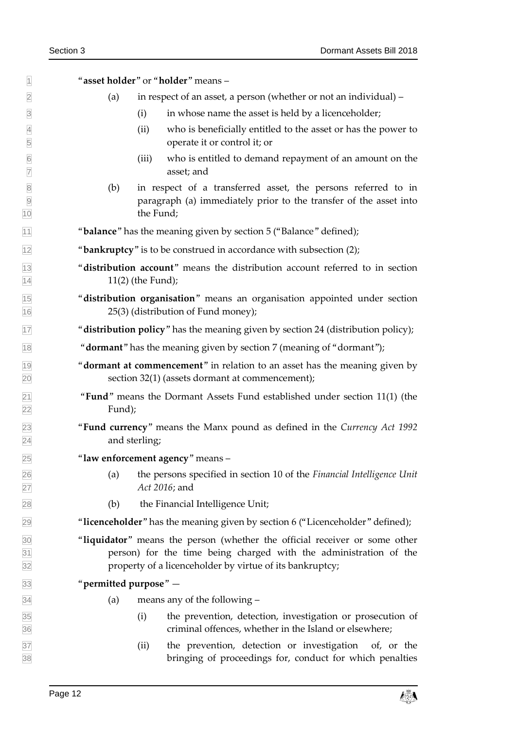"**asset holder**" or "**holder**" means – (a) in respect of an asset, a person (whether or not an individual) – (i) in whose name the asset is held by a licenceholder; (ii) who is beneficially entitled to the asset or has the power to operate it or control it; or (iii) who is entitled to demand repayment of an amount on the asset; and (b) in respect of a transferred asset, the persons referred to in paragraph (a) immediately prior to the transfer of the asset into 10 the Fund; "**balance**" has the meaning given by section 5 ("Balance" defined); "**bankruptcy**" is to be construed in accordance with subsection (2); "**distribution account**" means the distribution account referred to in section  $11(2)$  (the Fund); "**distribution organisation**" means an organisation appointed under section 25(3) (distribution of Fund money); "**distribution policy**" has the meaning given by section 24 (distribution policy); "**dormant**" has the meaning given by section 7 (meaning of "dormant"); "**dormant at commencement**" in relation to an asset has the meaning given by section 32(1) (assets dormant at commencement); **Fund**" means the Dormant Assets Fund established under section 11(1) (the Fund); "**Fund currency**" means the Manx pound as defined in the *Currency Act 1992* and sterling; "**law enforcement agency**" means – (a) the persons specified in section 10 of the *Financial Intelligence Unit Act 2016*; and (b) the Financial Intelligence Unit; "**licenceholder**" has the meaning given by section 6 ("Licenceholder" defined); "**liquidator**" means the person (whether the official receiver or some other person) for the time being charged with the administration of the property of a licenceholder by virtue of its bankruptcy; "**permitted purpose**" —  $\overline{34}$  (a) means any of the following – (i) the prevention, detection, investigation or prosecution of criminal offences, whether in the Island or elsewhere; (ii) the prevention, detection or investigation of, or the bringing of proceedings for, conduct for which penalties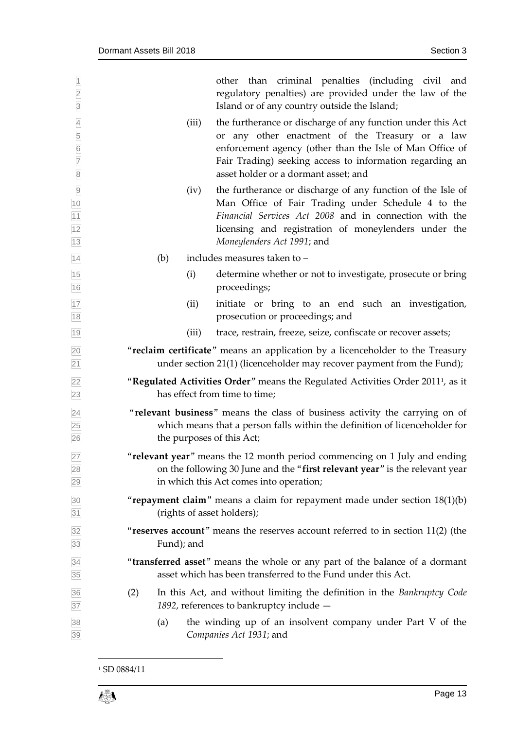| $\overline{1}$<br>$\frac{2}{3}$                      |            | other than criminal penalties (including civil and<br>regulatory penalties) are provided under the law of the<br>Island or of any country outside the Island;                                                                                                                  |
|------------------------------------------------------|------------|--------------------------------------------------------------------------------------------------------------------------------------------------------------------------------------------------------------------------------------------------------------------------------|
| $\overline{4}$<br>5<br>6<br>7<br>8                   | (iii)      | the furtherance or discharge of any function under this Act<br>or any other enactment of the Treasury or a law<br>enforcement agency (other than the Isle of Man Office of<br>Fair Trading) seeking access to information regarding an<br>asset holder or a dormant asset; and |
| $\overline{9}$<br>$\frac{10}{11}$<br>$\frac{11}{13}$ | (iv)       | the furtherance or discharge of any function of the Isle of<br>Man Office of Fair Trading under Schedule 4 to the<br>Financial Services Act 2008 and in connection with the<br>licensing and registration of moneylenders under the<br>Moneylenders Act 1991; and              |
| 14                                                   | (b)        | includes measures taken to -                                                                                                                                                                                                                                                   |
| $\frac{15}{16}$                                      | (i)        | determine whether or not to investigate, prosecute or bring<br>proceedings;                                                                                                                                                                                                    |
| $\frac{17}{18}$                                      | (ii)       | initiate or bring to an end such an investigation,<br>prosecution or proceedings; and                                                                                                                                                                                          |
| 19                                                   | (iii)      | trace, restrain, freeze, seize, confiscate or recover assets;                                                                                                                                                                                                                  |
| $\frac{20}{21}$                                      |            | "reclaim certificate" means an application by a licenceholder to the Treasury<br>under section 21(1) (licenceholder may recover payment from the Fund);                                                                                                                        |
|                                                      |            | "Regulated Activities Order" means the Regulated Activities Order 2011 <sup>1</sup> , as it<br>has effect from time to time;                                                                                                                                                   |
| 22<br>23<br>24<br>25<br>26                           |            | "relevant business" means the class of business activity the carrying on of<br>which means that a person falls within the definition of licenceholder for<br>the purposes of this Act;                                                                                         |
| 27<br>28<br>29                                       |            | "relevant year" means the 12 month period commencing on 1 July and ending<br>on the following 30 June and the "first relevant year" is the relevant year<br>in which this Act comes into operation;                                                                            |
| 30<br>31                                             |            | "repayment claim" means a claim for repayment made under section $18(1)(b)$<br>(rights of asset holders);                                                                                                                                                                      |
| $\frac{32}{33}$                                      | Fund); and | "reserves account" means the reserves account referred to in section 11(2) (the                                                                                                                                                                                                |
| 34<br>35                                             |            | "transferred asset" means the whole or any part of the balance of a dormant<br>asset which has been transferred to the Fund under this Act.                                                                                                                                    |
| 36<br>37                                             | (2)        | In this Act, and without limiting the definition in the Bankruptcy Code<br>1892, references to bankruptcy include -                                                                                                                                                            |
| 38<br>39                                             | (a)        | the winding up of an insolvent company under Part V of the<br>Companies Act 1931; and                                                                                                                                                                                          |

<sup>&</sup>lt;sup>1</sup> SD 0884/11

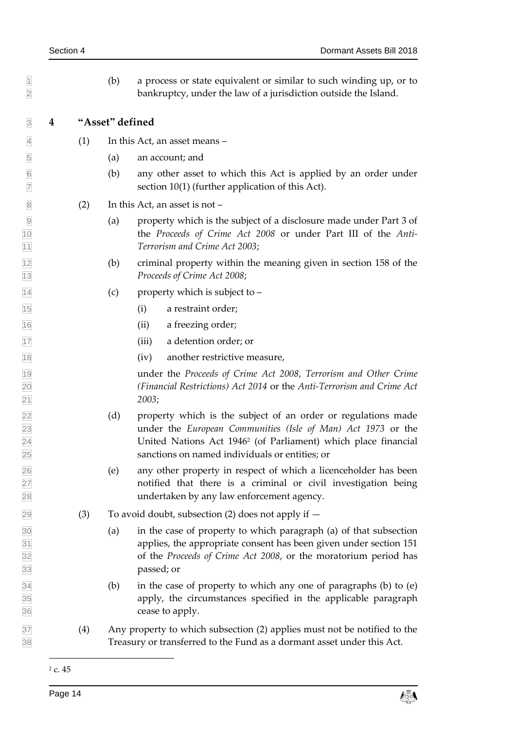<span id="page-13-0"></span> $\vert \vert$  (b) a process or state equivalent or similar to such winding up, or to bankruptcy, under the law of a jurisdiction outside the Island. **4 "Asset" defined**  $\vert 4 \vert$  (1) In this Act, an asset means – (a) an account; and (b) any other asset to which this Act is applied by an order under  $\boxed{7}$  section 10(1) (further application of this Act).  $\boxed{8}$  (2) In this Act, an asset is not – (a) property which is the subject of a disclosure made under Part 3 of the *Proceeds of Crime Act 2008* or under Part III of the *Anti- Terrorism and Crime Act 2003*; (b) criminal property within the meaning given in section 158 of the *Proceeds of Crime Act 2008*;  $\boxed{14}$  (c) property which is subject to – (i) a restraint order; (ii) a freezing order; (iii) a detention order; or (iv) another restrictive measure, under the *Proceeds of Crime Act 2008*, *Terrorism and Other Crime (Financial Restrictions) Act 2014* or the *Anti-Terrorism and Crime Act 2003*; (d) property which is the subject of an order or regulations made under the *European Communities (Isle of Man) Act 1973* or the United Nations Act 1946<sup>2</sup> (of Parliament) which place financial sanctions on named individuals or entities; or (e) any other property in respect of which a licenceholder has been notified that there is a criminal or civil investigation being undertaken by any law enforcement agency.  $\boxed{29}$  (3) To avoid doubt, subsection (2) does not apply if  $\overline{30}$  (a) in the case of property to which paragraph (a) of that subsection applies, the appropriate consent has been given under section 151 of the *Proceeds of Crime Act 2008*, or the moratorium period has passed; or  $\overline{34}$  (b) in the case of property to which any one of paragraphs (b) to (e) apply, the circumstances specified in the applicable paragraph cease to apply. (4) Any property to which subsection (2) applies must not be notified to the Treasury or transferred to the Fund as a dormant asset under this Act. -

c. 45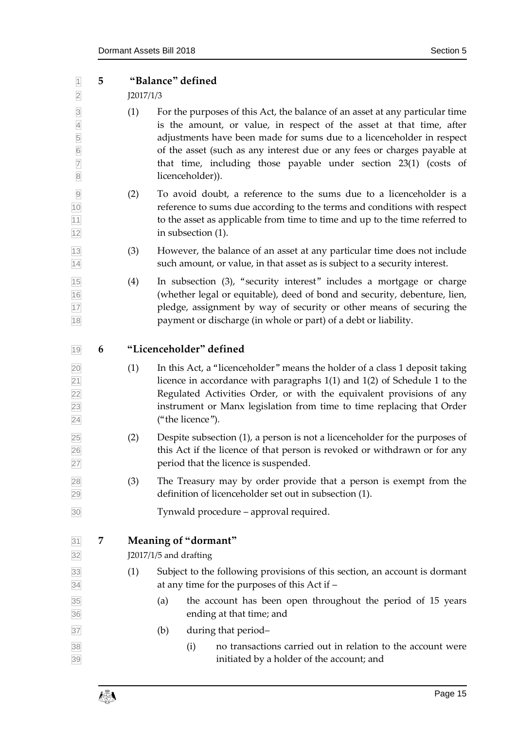<span id="page-14-2"></span><span id="page-14-1"></span><span id="page-14-0"></span>

| $\overline{1}$                                                                                                         | 5 |           | "Balance" defined |                                                |                                                                                                                                                                                                                                                                                                                                                                               |
|------------------------------------------------------------------------------------------------------------------------|---|-----------|-------------------|------------------------------------------------|-------------------------------------------------------------------------------------------------------------------------------------------------------------------------------------------------------------------------------------------------------------------------------------------------------------------------------------------------------------------------------|
| $\overline{2}$                                                                                                         |   | J2017/1/3 |                   |                                                |                                                                                                                                                                                                                                                                                                                                                                               |
| $\overline{3}$<br>$\overline{4}$<br>$\begin{array}{c c} 5 \\ \hline 6 \end{array}$<br>$\overline{7}$<br>$\overline{8}$ |   | (1)       |                   | licenceholder)).                               | For the purposes of this Act, the balance of an asset at any particular time<br>is the amount, or value, in respect of the asset at that time, after<br>adjustments have been made for sums due to a licenceholder in respect<br>of the asset (such as any interest due or any fees or charges payable at<br>that time, including those payable under section 23(1) (costs of |
| $\overline{9}$<br>10<br>11<br>12                                                                                       |   | (2)       |                   | in subsection (1).                             | To avoid doubt, a reference to the sums due to a licenceholder is a<br>reference to sums due according to the terms and conditions with respect<br>to the asset as applicable from time to time and up to the time referred to                                                                                                                                                |
| 13<br>14                                                                                                               |   | (3)       |                   |                                                | However, the balance of an asset at any particular time does not include<br>such amount, or value, in that asset as is subject to a security interest.                                                                                                                                                                                                                        |
| 15<br>$\frac{16}{17}$<br>18                                                                                            |   | (4)       |                   |                                                | In subsection (3), "security interest" includes a mortgage or charge<br>(whether legal or equitable), deed of bond and security, debenture, lien,<br>pledge, assignment by way of security or other means of securing the<br>payment or discharge (in whole or part) of a debt or liability.                                                                                  |
| 19                                                                                                                     | 6 |           |                   | "Licenceholder" defined                        |                                                                                                                                                                                                                                                                                                                                                                               |
| $\overline{20}$<br>$\overline{21}$<br>$\overline{22}$<br>23<br>24                                                      |   | (1)       |                   | ("the licence").                               | In this Act, a "licenceholder" means the holder of a class 1 deposit taking<br>licence in accordance with paragraphs $1(1)$ and $1(2)$ of Schedule 1 to the<br>Regulated Activities Order, or with the equivalent provisions of any<br>instrument or Manx legislation from time to time replacing that Order                                                                  |
| 25<br>26<br>27                                                                                                         |   | (2)       |                   |                                                | Despite subsection (1), a person is not a licenceholder for the purposes of<br>this Act if the licence of that person is revoked or withdrawn or for any<br>period that the licence is suspended.                                                                                                                                                                             |
| 28<br>29                                                                                                               |   | (3)       |                   |                                                | The Treasury may by order provide that a person is exempt from the<br>definition of licenceholder set out in subsection (1).                                                                                                                                                                                                                                                  |
| 30                                                                                                                     |   |           |                   |                                                | Tynwald procedure - approval required.                                                                                                                                                                                                                                                                                                                                        |
| 31<br>32                                                                                                               | 7 |           |                   | Meaning of "dormant"<br>J2017/1/5 and drafting |                                                                                                                                                                                                                                                                                                                                                                               |
| 33<br>34                                                                                                               |   | (1)       |                   |                                                | Subject to the following provisions of this section, an account is dormant<br>at any time for the purposes of this Act if -                                                                                                                                                                                                                                                   |
| 35<br>36                                                                                                               |   |           | (a)               |                                                | the account has been open throughout the period of 15 years<br>ending at that time; and                                                                                                                                                                                                                                                                                       |
| 37                                                                                                                     |   |           | (b)               |                                                | during that period-                                                                                                                                                                                                                                                                                                                                                           |
| 38<br>39                                                                                                               |   |           |                   | (i)                                            | no transactions carried out in relation to the account were<br>initiated by a holder of the account; and                                                                                                                                                                                                                                                                      |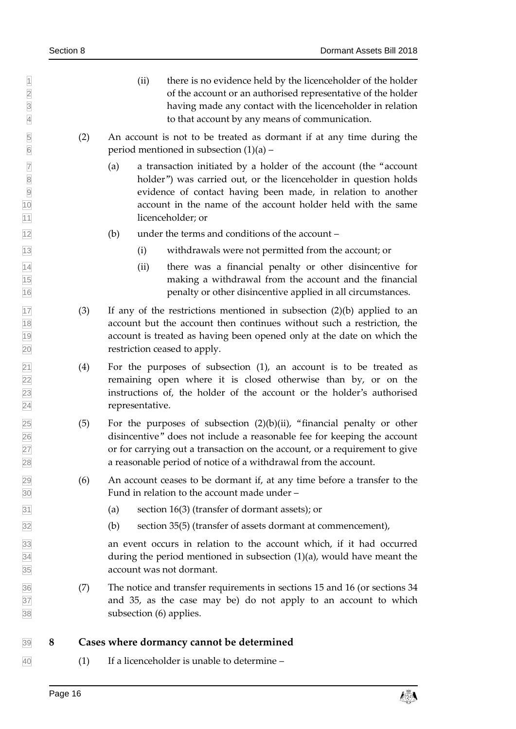- $\mathbb{I}$  (ii) there is no evidence held by the licenceholder of the holder of the account or an authorised representative of the holder having made any contact with the licenceholder in relation to that account by any means of communication.
- (2) An account is not to be treated as dormant if at any time during the  $\boxed{6}$  period mentioned in subsection (1)(a) –
- $\triangledown$  (a) a transaction initiated by a holder of the account (the "account" holder") was carried out, or the licenceholder in question holds evidence of contact having been made, in relation to another account in the name of the account holder held with the same 11 licenceholder; or
- $\boxed{12}$  (b) under the terms and conditions of the account –
- (i) withdrawals were not permitted from the account; or
- $\frac{1}{14}$  (ii) there was a financial penalty or other disincentive for making a withdrawal from the account and the financial penalty or other disincentive applied in all circumstances.
- $\overline{17}$  (3) If any of the restrictions mentioned in subsection (2)(b) applied to an account but the account then continues without such a restriction, the account is treated as having been opened only at the date on which the restriction ceased to apply.
- (4) For the purposes of subsection (1), an account is to be treated as remaining open where it is closed otherwise than by, or on the instructions of, the holder of the account or the holder's authorised representative.
- $\overline{25}$  (5) For the purposes of subsection  $(2)(b)(ii)$ , "financial penalty or other disincentive" does not include a reasonable fee for keeping the account or for carrying out a transaction on the account, or a requirement to give a reasonable period of notice of a withdrawal from the account.
- $\boxed{29}$  (6) An account ceases to be dormant if, at any time before a transfer to the Fund in relation to the account made under –
- (a) section 16(3) (transfer of dormant assets); or
- (b) section 35(5) (transfer of assets dormant at commencement),

 an event occurs in relation to the account which, if it had occurred  $\overline{34}$  during the period mentioned in subsection (1)(a), would have meant the account was not dormant.

 (7) The notice and transfer requirements in sections 15 and 16 (or sections 34 and 35, as the case may be) do not apply to an account to which subsection (6) applies.

### <span id="page-15-0"></span>**8 Cases where dormancy cannot be determined**

 $\overline{40}$  (1) If a licenceholder is unable to determine –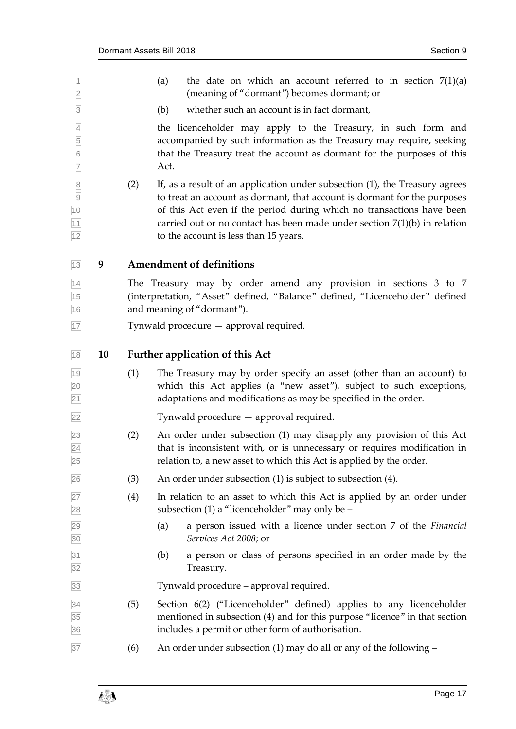<span id="page-16-1"></span><span id="page-16-0"></span>

| $\overline{1}$<br>$\overline{2}$                  |    |     | the date on which an account referred to in section $7(1)(a)$<br>(a)<br>(meaning of "dormant") becomes dormant; or                                                                                                                                                                                                                                       |
|---------------------------------------------------|----|-----|----------------------------------------------------------------------------------------------------------------------------------------------------------------------------------------------------------------------------------------------------------------------------------------------------------------------------------------------------------|
| $\overline{3}$                                    |    |     | (b)<br>whether such an account is in fact dormant,                                                                                                                                                                                                                                                                                                       |
| $\overline{4}$<br>$\frac{5}{6}$<br>$\overline{7}$ |    |     | the licenceholder may apply to the Treasury, in such form and<br>accompanied by such information as the Treasury may require, seeking<br>that the Treasury treat the account as dormant for the purposes of this<br>Act.                                                                                                                                 |
| $\overline{8}$<br>$\frac{9}{10}$<br>11<br>12      |    | (2) | If, as a result of an application under subsection (1), the Treasury agrees<br>to treat an account as dormant, that account is dormant for the purposes<br>of this Act even if the period during which no transactions have been<br>carried out or no contact has been made under section $7(1)(b)$ in relation<br>to the account is less than 15 years. |
| 13                                                | 9  |     | <b>Amendment of definitions</b>                                                                                                                                                                                                                                                                                                                          |
| 14<br>15<br>16                                    |    |     | The Treasury may by order amend any provision in sections 3 to 7<br>(interpretation, "Asset" defined, "Balance" defined, "Licenceholder" defined<br>and meaning of "dormant").                                                                                                                                                                           |
| 17                                                |    |     | Tynwald procedure — approval required.                                                                                                                                                                                                                                                                                                                   |
| 18                                                | 10 |     | <b>Further application of this Act</b>                                                                                                                                                                                                                                                                                                                   |
|                                                   |    |     |                                                                                                                                                                                                                                                                                                                                                          |
| 19<br>20<br>$\overline{21}$                       |    | (1) | The Treasury may by order specify an asset (other than an account) to<br>which this Act applies (a "new asset"), subject to such exceptions,<br>adaptations and modifications as may be specified in the order.                                                                                                                                          |
| 22                                                |    |     | Tynwald procedure — approval required.                                                                                                                                                                                                                                                                                                                   |
| 23<br>$\overline{24}$<br>25                       |    | (2) | An order under subsection (1) may disapply any provision of this Act<br>that is inconsistent with, or is unnecessary or requires modification in<br>relation to, a new asset to which this Act is applied by the order.                                                                                                                                  |
| 26                                                |    | (3) | An order under subsection (1) is subject to subsection (4).                                                                                                                                                                                                                                                                                              |
| 27<br>28                                          |    | (4) | In relation to an asset to which this Act is applied by an order under<br>subsection $(1)$ a "licenceholder" may only be $-$                                                                                                                                                                                                                             |
| 29<br>30                                          |    |     | a person issued with a licence under section 7 of the Financial<br>(a)<br>Services Act 2008; or                                                                                                                                                                                                                                                          |
| 31<br>32                                          |    |     | a person or class of persons specified in an order made by the<br>(b)<br>Treasury.                                                                                                                                                                                                                                                                       |
| 33                                                |    |     | Tynwald procedure – approval required.                                                                                                                                                                                                                                                                                                                   |
| $\overline{34}$<br>35<br>36                       |    | (5) | Section 6(2) ("Licenceholder" defined) applies to any licenceholder<br>mentioned in subsection (4) and for this purpose "licence" in that section<br>includes a permit or other form of authorisation.                                                                                                                                                   |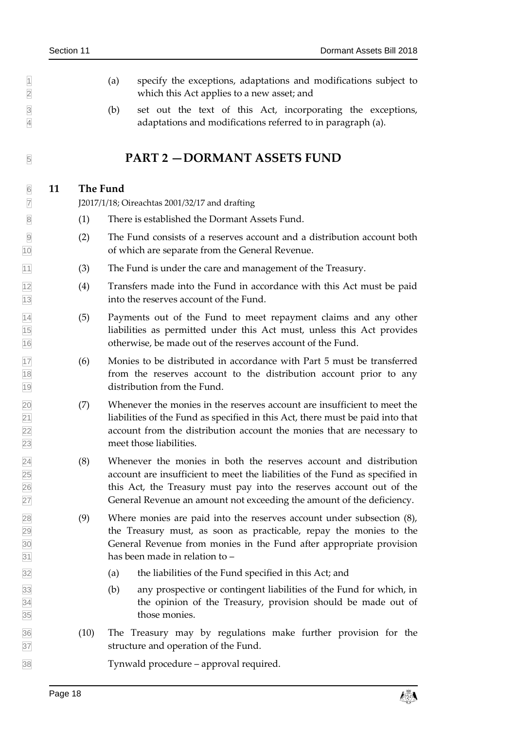- $\Box$  (a) specify the exceptions, adaptations and modifications subject to which this Act applies to a new asset; and
- (b) set out the text of this Act, incorporating the exceptions, adaptations and modifications referred to in paragraph (a).

# <span id="page-17-1"></span><span id="page-17-0"></span>**FART 2 — DORMANT ASSETS FUND**

### **11 The Fund**

J2017/1/18; Oireachtas 2001/32/17 and drafting

- (1) There is established the Dormant Assets Fund.
- (2) The Fund consists of a reserves account and a distribution account both of which are separate from the General Revenue.
- (3) The Fund is under the care and management of the Treasury.
- $\frac{1}{2}$  (4) Transfers made into the Fund in accordance with this Act must be paid into the reserves account of the Fund.
- (5) Payments out of the Fund to meet repayment claims and any other liabilities as permitted under this Act must, unless this Act provides otherwise, be made out of the reserves account of the Fund.
- (6) Monies to be distributed in accordance with Part 5 must be transferred from the reserves account to the distribution account prior to any distribution from the Fund.
- (7) Whenever the monies in the reserves account are insufficient to meet the  $\boxed{21}$  liabilities of the Fund as specified in this Act, there must be paid into that account from the distribution account the monies that are necessary to meet those liabilities.
- (8) Whenever the monies in both the reserves account and distribution account are insufficient to meet the liabilities of the Fund as specified in this Act, the Treasury must pay into the reserves account out of the General Revenue an amount not exceeding the amount of the deficiency.
- (9) Where monies are paid into the reserves account under subsection (8), the Treasury must, as soon as practicable, repay the monies to the General Revenue from monies in the Fund after appropriate provision has been made in relation to –
- (a) the liabilities of the Fund specified in this Act; and
- (b) any prospective or contingent liabilities of the Fund for which, in the opinion of the Treasury, provision should be made out of those monies.
- (10) The Treasury may by regulations make further provision for the structure and operation of the Fund.

Tynwald procedure – approval required.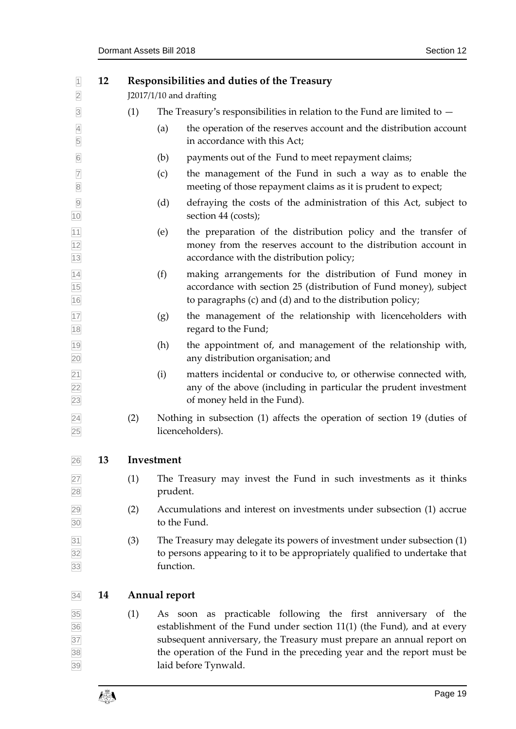<span id="page-18-2"></span><span id="page-18-1"></span><span id="page-18-0"></span>

| $\overline{1}$<br>$\overline{2}$         | 12 |            | <b>Responsibilities and duties of the Treasury</b><br>J2017/1/10 and drafting                                                                                                                                                                                                                                      |  |
|------------------------------------------|----|------------|--------------------------------------------------------------------------------------------------------------------------------------------------------------------------------------------------------------------------------------------------------------------------------------------------------------------|--|
| $\overline{3}$                           |    | (1)        | The Treasury's responsibilities in relation to the Fund are limited to $-$                                                                                                                                                                                                                                         |  |
| $\overline{4}$<br>5                      |    |            | the operation of the reserves account and the distribution account<br>(a)<br>in accordance with this Act;                                                                                                                                                                                                          |  |
| $6\overline{6}$                          |    |            | payments out of the Fund to meet repayment claims;<br>(b)                                                                                                                                                                                                                                                          |  |
| $\overline{7}$<br>$\boxed{8}$            |    |            | the management of the Fund in such a way as to enable the<br>(c)<br>meeting of those repayment claims as it is prudent to expect;                                                                                                                                                                                  |  |
| $\overline{9}$<br>10                     |    |            | defraying the costs of the administration of this Act, subject to<br>(d)<br>section 44 (costs);                                                                                                                                                                                                                    |  |
| $\boxed{11}$<br>$\frac{12}{13}$          |    |            | the preparation of the distribution policy and the transfer of<br>(e)<br>money from the reserves account to the distribution account in<br>accordance with the distribution policy;                                                                                                                                |  |
| $\overline{14}$<br>$\frac{15}{15}$<br>16 |    |            | making arrangements for the distribution of Fund money in<br>(f)<br>accordance with section 25 (distribution of Fund money), subject<br>to paragraphs (c) and (d) and to the distribution policy;                                                                                                                  |  |
| 17<br>$\boxed{18}$                       |    |            | the management of the relationship with licenceholders with<br>(g)<br>regard to the Fund;                                                                                                                                                                                                                          |  |
| 19<br>20                                 |    |            | the appointment of, and management of the relationship with,<br>(h)<br>any distribution organisation; and                                                                                                                                                                                                          |  |
| $\frac{21}{22}$<br>23                    |    |            | matters incidental or conducive to, or otherwise connected with,<br>(i)<br>any of the above (including in particular the prudent investment<br>of money held in the Fund).                                                                                                                                         |  |
| $\overline{24}$<br>25                    |    | (2)        | Nothing in subsection (1) affects the operation of section 19 (duties of<br>licenceholders).                                                                                                                                                                                                                       |  |
| 26                                       | 13 | Investment |                                                                                                                                                                                                                                                                                                                    |  |
| $\overline{27}$<br>28                    |    | (1)        | The Treasury may invest the Fund in such investments as it thinks<br>prudent.                                                                                                                                                                                                                                      |  |
| $\frac{29}{30}$                          |    | (2)        | Accumulations and interest on investments under subsection (1) accrue<br>to the Fund.                                                                                                                                                                                                                              |  |
| $\frac{31}{32}$ $\frac{32}{33}$          |    | (3)        | The Treasury may delegate its powers of investment under subsection (1)<br>to persons appearing to it to be appropriately qualified to undertake that<br>function.                                                                                                                                                 |  |
| 34                                       | 14 |            | <b>Annual report</b>                                                                                                                                                                                                                                                                                               |  |
| 35<br>36<br>37<br>38<br>39               |    | (1)        | As soon as practicable following the first anniversary of the<br>establishment of the Fund under section 11(1) (the Fund), and at every<br>subsequent anniversary, the Treasury must prepare an annual report on<br>the operation of the Fund in the preceding year and the report must be<br>laid before Tynwald. |  |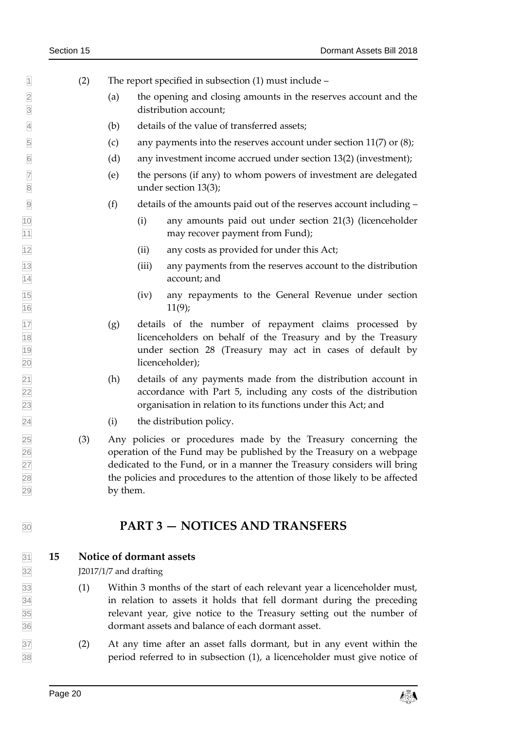| $\overline{1}$                     |    | (2) |          |                        | The report specified in subsection $(1)$ must include –                                                                                                                                                                                                                                         |
|------------------------------------|----|-----|----------|------------------------|-------------------------------------------------------------------------------------------------------------------------------------------------------------------------------------------------------------------------------------------------------------------------------------------------|
| $\overline{2}$<br>$\overline{3}$   |    |     | (a)      |                        | the opening and closing amounts in the reserves account and the<br>distribution account;                                                                                                                                                                                                        |
| $\overline{4}$                     |    |     | (b)      |                        | details of the value of transferred assets;                                                                                                                                                                                                                                                     |
| 5                                  |    |     | (c)      |                        | any payments into the reserves account under section $11(7)$ or $(8)$ ;                                                                                                                                                                                                                         |
| $6\overline{6}$                    |    |     | (d)      |                        | any investment income accrued under section 13(2) (investment);                                                                                                                                                                                                                                 |
| $\boxed{7}$<br>$\boxed{8}$         |    |     | (e)      |                        | the persons (if any) to whom powers of investment are delegated<br>under section 13(3);                                                                                                                                                                                                         |
| $\overline{9}$                     |    |     | (f)      |                        | details of the amounts paid out of the reserves account including –                                                                                                                                                                                                                             |
| 10<br>11                           |    |     |          | (i)                    | any amounts paid out under section 21(3) (licenceholder<br>may recover payment from Fund);                                                                                                                                                                                                      |
| 12                                 |    |     |          | (ii)                   | any costs as provided for under this Act;                                                                                                                                                                                                                                                       |
| $\frac{13}{14}$                    |    |     |          | (iii)                  | any payments from the reserves account to the distribution<br>account; and                                                                                                                                                                                                                      |
| $\frac{15}{16}$                    |    |     |          | (iv)                   | any repayments to the General Revenue under section<br>11(9);                                                                                                                                                                                                                                   |
| $\frac{17}{18}$<br>$\frac{19}{20}$ |    |     | (g)      |                        | details of the number of repayment claims processed by<br>licenceholders on behalf of the Treasury and by the Treasury<br>under section 28 (Treasury may act in cases of default by<br>licenceholder);                                                                                          |
| $\frac{21}{22}$<br>$\frac{22}{23}$ |    |     | (h)      |                        | details of any payments made from the distribution account in<br>accordance with Part 5, including any costs of the distribution<br>organisation in relation to its functions under this Act; and                                                                                               |
| $\overline{24}$                    |    |     | (i)      |                        | the distribution policy.                                                                                                                                                                                                                                                                        |
| 25<br>26<br>27<br>28<br>29         |    | (3) | by them. |                        | Any policies or procedures made by the Treasury concerning the<br>operation of the Fund may be published by the Treasury on a webpage<br>dedicated to the Fund, or in a manner the Treasury considers will bring<br>the policies and procedures to the attention of those likely to be affected |
| 30                                 |    |     |          |                        | <b>PART 3 - NOTICES AND TRANSFERS</b>                                                                                                                                                                                                                                                           |
| $\overline{31}$<br>32              | 15 |     |          | J2017/1/7 and drafting | Notice of dormant assets                                                                                                                                                                                                                                                                        |
| 33                                 |    | (1) |          |                        | Within 3 months of the start of each relevant year a licenceholder must,                                                                                                                                                                                                                        |
|                                    |    |     |          |                        |                                                                                                                                                                                                                                                                                                 |

- <span id="page-19-1"></span><span id="page-19-0"></span> in relation to assets it holds that fell dormant during the preceding relevant year, give notice to the Treasury setting out the number of dormant assets and balance of each dormant asset.
- (2) At any time after an asset falls dormant, but in any event within the period referred to in subsection (1), a licenceholder must give notice of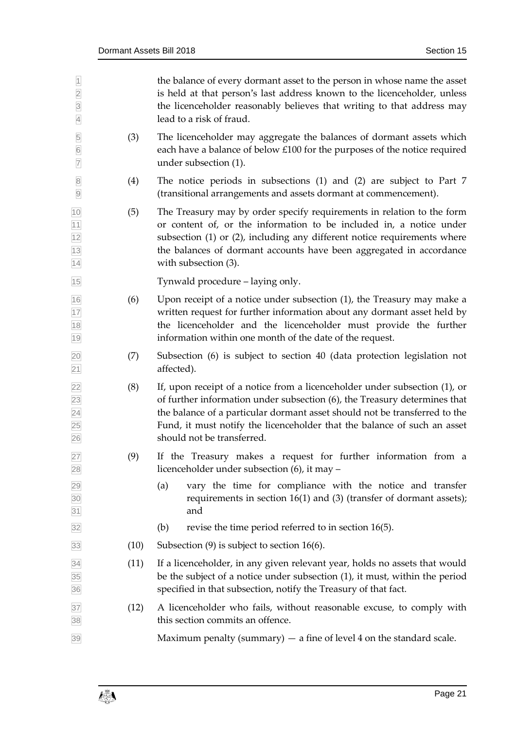| $\vert$<br>$\overline{2}$<br>$\overline{3}$<br>$\overline{4}$ |      | the balance of every dormant asset to the person in whose name the asset<br>is held at that person's last address known to the licenceholder, unless<br>the licenceholder reasonably believes that writing to that address may<br>lead to a risk of fraud.                                                                                      |
|---------------------------------------------------------------|------|-------------------------------------------------------------------------------------------------------------------------------------------------------------------------------------------------------------------------------------------------------------------------------------------------------------------------------------------------|
| $\overline{5}$<br>$6\overline{6}$<br>$\overline{7}$           | (3)  | The licenceholder may aggregate the balances of dormant assets which<br>each have a balance of below £100 for the purposes of the notice required<br>under subsection (1).                                                                                                                                                                      |
| $\overline{8}$<br>$\overline{9}$                              | (4)  | The notice periods in subsections $(1)$ and $(2)$ are subject to Part 7<br>(transitional arrangements and assets dormant at commencement).                                                                                                                                                                                                      |
| 10<br>11<br>12<br>13<br>14                                    | (5)  | The Treasury may by order specify requirements in relation to the form<br>or content of, or the information to be included in, a notice under<br>subsection (1) or (2), including any different notice requirements where<br>the balances of dormant accounts have been aggregated in accordance<br>with subsection (3).                        |
| 15                                                            |      | Tynwald procedure – laying only.                                                                                                                                                                                                                                                                                                                |
| 16<br>17<br>18<br>19                                          | (6)  | Upon receipt of a notice under subsection $(1)$ , the Treasury may make a<br>written request for further information about any dormant asset held by<br>the licenceholder and the licenceholder must provide the further<br>information within one month of the date of the request.                                                            |
| $\frac{20}{21}$                                               | (7)  | Subsection (6) is subject to section 40 (data protection legislation not<br>affected).                                                                                                                                                                                                                                                          |
| 22<br>23<br>24<br>25<br>26                                    | (8)  | If, upon receipt of a notice from a licenceholder under subsection (1), or<br>of further information under subsection (6), the Treasury determines that<br>the balance of a particular dormant asset should not be transferred to the<br>Fund, it must notify the licenceholder that the balance of such an asset<br>should not be transferred. |
| 27<br>28                                                      | (9)  | If the Treasury makes a request for further information from a<br>licenceholder under subsection (6), it may -                                                                                                                                                                                                                                  |
| $\frac{29}{30}$ $\frac{31}{31}$                               |      | vary the time for compliance with the notice and transfer<br>(a)<br>requirements in section $16(1)$ and (3) (transfer of dormant assets);<br>and                                                                                                                                                                                                |
| 32                                                            |      | revise the time period referred to in section 16(5).<br>(b)                                                                                                                                                                                                                                                                                     |
| 33                                                            | (10) | Subsection $(9)$ is subject to section 16 $(6)$ .                                                                                                                                                                                                                                                                                               |
| 34<br>35<br>36                                                | (11) | If a licenceholder, in any given relevant year, holds no assets that would<br>be the subject of a notice under subsection (1), it must, within the period<br>specified in that subsection, notify the Treasury of that fact.                                                                                                                    |
| 37<br>38                                                      | (12) | A licenceholder who fails, without reasonable excuse, to comply with<br>this section commits an offence.                                                                                                                                                                                                                                        |
| 39                                                            |      | Maximum penalty (summary) $-$ a fine of level 4 on the standard scale.                                                                                                                                                                                                                                                                          |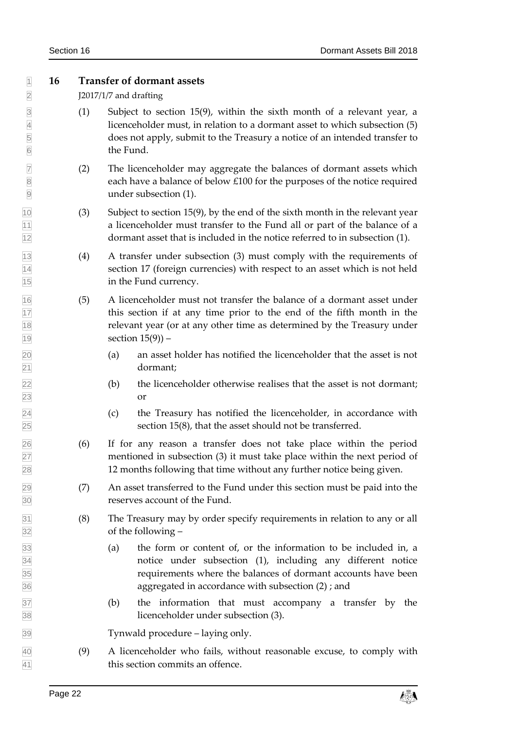### <span id="page-21-0"></span>**16 Transfer of dormant assets**

J2017/1/7 and drafting

- $\boxed{3}$  (1) Subject to section 15(9), within the sixth month of a relevant year, a licenceholder must, in relation to a dormant asset to which subsection (5) does not apply, submit to the Treasury a notice of an intended transfer to the Fund.
- (2) The licenceholder may aggregate the balances of dormant assets which 8 8 each have a balance of below £100 for the purposes of the notice required under subsection (1).
- (3) Subject to section 15(9), by the end of the sixth month in the relevant year a licenceholder must transfer to the Fund all or part of the balance of a dormant asset that is included in the notice referred to in subsection (1).
- (4) A transfer under subsection (3) must comply with the requirements of section 17 (foreign currencies) with respect to an asset which is not held in the Fund currency.
- (5) A licenceholder must not transfer the balance of a dormant asset under this section if at any time prior to the end of the fifth month in the relevant year (or at any other time as determined by the Treasury under  $\vert 19 \vert$  section  $15(9)$ ) –
- (a) an asset holder has notified the licenceholder that the asset is not dormant;
- (b) the licenceholder otherwise realises that the asset is not dormant; or
- $\overline{24}$  (c) the Treasury has notified the licenceholder, in accordance with section 15(8), that the asset should not be transferred.
- (6) If for any reason a transfer does not take place within the period mentioned in subsection (3) it must take place within the next period of 12 months following that time without any further notice being given.
- (7) An asset transferred to the Fund under this section must be paid into the reserves account of the Fund.
- (8) The Treasury may by order specify requirements in relation to any or all of the following –
- (a) the form or content of, or the information to be included in, a notice under subsection (1), including any different notice requirements where the balances of dormant accounts have been aggregated in accordance with subsection (2) ; and
- (b) the information that must accompany a transfer by the licenceholder under subsection (3).

Tynwald procedure – laying only.

 (9) A licenceholder who fails, without reasonable excuse, to comply with 41 this section commits an offence.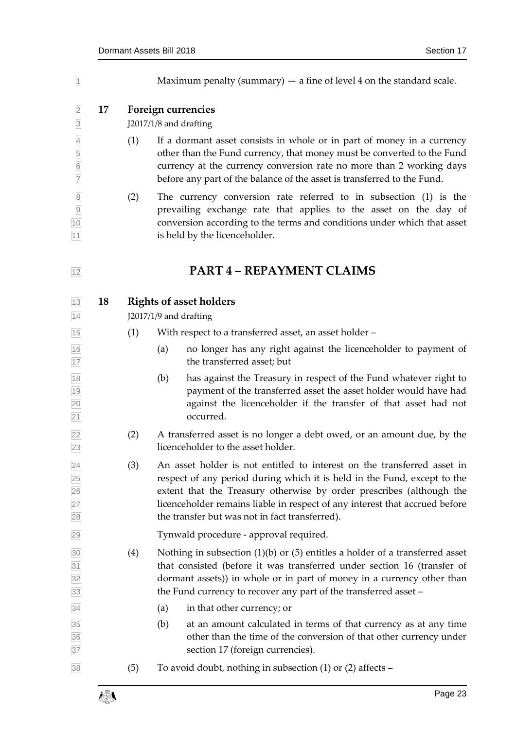<span id="page-22-2"></span><span id="page-22-1"></span><span id="page-22-0"></span>

| $\overline{1}$                                              |    |     | Maximum penalty (summary) $-$ a fine of level 4 on the standard scale.                                                                                                                                                                                                                                                                                       |
|-------------------------------------------------------------|----|-----|--------------------------------------------------------------------------------------------------------------------------------------------------------------------------------------------------------------------------------------------------------------------------------------------------------------------------------------------------------------|
| $\overline{2}$<br>$\overline{3}$                            | 17 |     | Foreign currencies<br>J2017/1/8 and drafting                                                                                                                                                                                                                                                                                                                 |
| $\overline{4}$<br>5<br>$\frac{6}{7}$                        |    | (1) | If a dormant asset consists in whole or in part of money in a currency<br>other than the Fund currency, that money must be converted to the Fund<br>currency at the currency conversion rate no more than 2 working days<br>before any part of the balance of the asset is transferred to the Fund.                                                          |
| 8<br>9<br>10<br>11                                          |    | (2) | The currency conversion rate referred to in subsection (1) is the<br>prevailing exchange rate that applies to the asset on the day of<br>conversion according to the terms and conditions under which that asset<br>is held by the licenceholder.                                                                                                            |
| 12                                                          |    |     | <b>PART 4 - REPAYMENT CLAIMS</b>                                                                                                                                                                                                                                                                                                                             |
| 13<br>14                                                    | 18 |     | <b>Rights of asset holders</b><br>J2017/1/9 and drafting                                                                                                                                                                                                                                                                                                     |
| 15                                                          |    | (1) | With respect to a transferred asset, an asset holder -                                                                                                                                                                                                                                                                                                       |
| 16<br>17                                                    |    |     | no longer has any right against the licenceholder to payment of<br>(a)<br>the transferred asset; but                                                                                                                                                                                                                                                         |
| 18<br>19<br>20<br>21                                        |    |     | has against the Treasury in respect of the Fund whatever right to<br>(b)<br>payment of the transferred asset the asset holder would have had<br>against the licenceholder if the transfer of that asset had not<br>occurred.                                                                                                                                 |
| 22<br>23                                                    |    | (2) | A transferred asset is no longer a debt owed, or an amount due, by the<br>licenceholder to the asset holder.                                                                                                                                                                                                                                                 |
| $\overline{24}$<br>$\frac{25}{26}$<br>27<br>$\overline{28}$ |    | (3) | An asset holder is not entitled to interest on the transferred asset in<br>respect of any period during which it is held in the Fund, except to the<br>extent that the Treasury otherwise by order prescribes (although the<br>licenceholder remains liable in respect of any interest that accrued before<br>the transfer but was not in fact transferred). |
| 29                                                          |    |     | Tynwald procedure - approval required.                                                                                                                                                                                                                                                                                                                       |
| 30<br>31<br>32<br>33                                        |    | (4) | Nothing in subsection $(1)(b)$ or $(5)$ entitles a holder of a transferred asset<br>that consisted (before it was transferred under section 16 (transfer of<br>dormant assets)) in whole or in part of money in a currency other than<br>the Fund currency to recover any part of the transferred asset -                                                    |
| 34                                                          |    |     | in that other currency; or<br>(a)                                                                                                                                                                                                                                                                                                                            |
| 35<br>36<br>37                                              |    |     | (b)<br>at an amount calculated in terms of that currency as at any time<br>other than the time of the conversion of that other currency under<br>section 17 (foreign currencies).                                                                                                                                                                            |
| 38                                                          |    | (5) | To avoid doubt, nothing in subsection $(1)$ or $(2)$ affects –                                                                                                                                                                                                                                                                                               |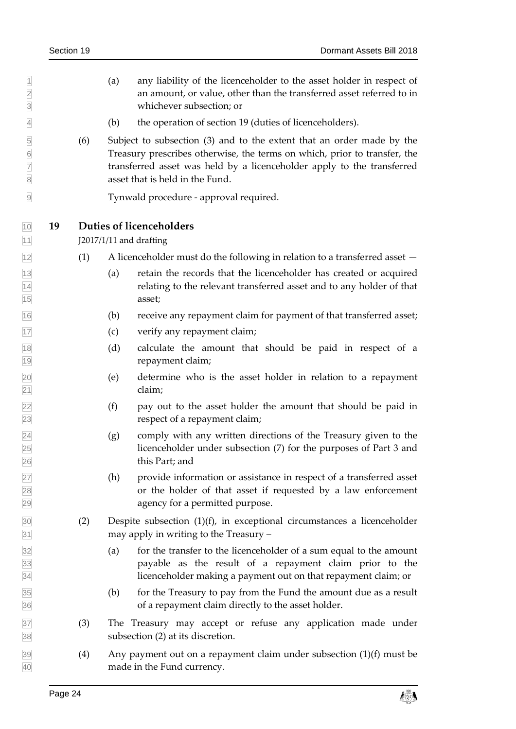- $|1 \rangle$  (a) any liability of the licenceholder to the asset holder in respect of an amount, or value, other than the transferred asset referred to in whichever subsection; or
- (b) the operation of section 19 (duties of licenceholders).
- (6) Subject to subsection (3) and to the extent that an order made by the Treasury prescribes otherwise, the terms on which, prior to transfer, the transferred asset was held by a licenceholder apply to the transferred

<span id="page-23-0"></span>Tynwald procedure - approval required.

**19 Duties of licenceholders** 

J2017/1/11 and drafting

- $\frac{1}{12}$  (1) A licenceholder must do the following in relation to a transferred asset –
- (a) retain the records that the licenceholder has created or acquired relating to the relevant transferred asset and to any holder of that asset;
- (b) receive any repayment claim for payment of that transferred asset;
- (c) verify any repayment claim;
- (d) calculate the amount that should be paid in respect of a repayment claim;
- (e) determine who is the asset holder in relation to a repayment claim;
- (f) pay out to the asset holder the amount that should be paid in respect of a repayment claim;
- $\overline{24}$  (g) comply with any written directions of the Treasury given to the licenceholder under subsection (7) for the purposes of Part 3 and this Part; and
- (h) provide information or assistance in respect of a transferred asset or the holder of that asset if requested by a law enforcement agency for a permitted purpose.
- (2) Despite subsection (1)(f), in exceptional circumstances a licenceholder may apply in writing to the Treasury –
- (a) for the transfer to the licenceholder of a sum equal to the amount payable as the result of a repayment claim prior to the licenceholder making a payment out on that repayment claim; or
- (b) for the Treasury to pay from the Fund the amount due as a result of a repayment claim directly to the asset holder.
- (3) The Treasury may accept or refuse any application made under subsection (2) at its discretion.
- (4) Any payment out on a repayment claim under subsection  $(1)(f)$  must be made in the Fund currency.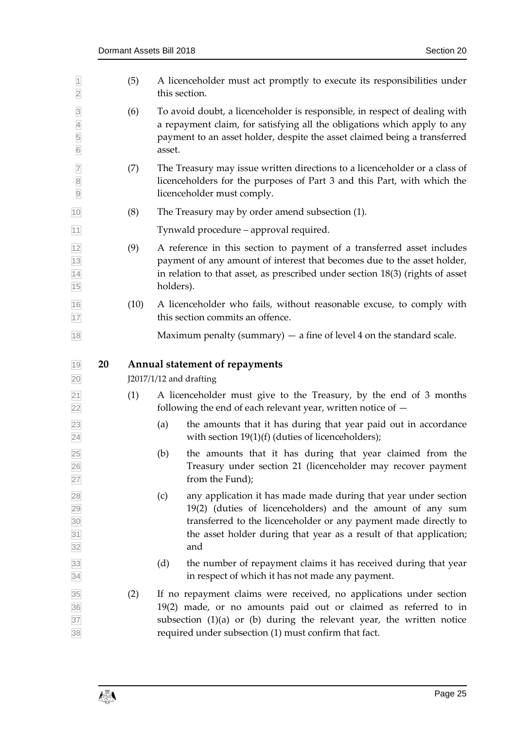<span id="page-24-0"></span>

| $\overline{1}$<br>$\overline{2}$                        |    | (5)  | A licenceholder must act promptly to execute its responsibilities under<br>this section.                                                                                                                                                                                              |
|---------------------------------------------------------|----|------|---------------------------------------------------------------------------------------------------------------------------------------------------------------------------------------------------------------------------------------------------------------------------------------|
| $\overline{3}$<br>$\overline{4}$<br>5<br>$\overline{6}$ |    | (6)  | To avoid doubt, a licenceholder is responsible, in respect of dealing with<br>a repayment claim, for satisfying all the obligations which apply to any<br>payment to an asset holder, despite the asset claimed being a transferred<br>asset.                                         |
| $\overline{7}$<br>$\boxed{8}$<br>$\overline{9}$         |    | (7)  | The Treasury may issue written directions to a licenceholder or a class of<br>licenceholders for the purposes of Part 3 and this Part, with which the<br>licenceholder must comply.                                                                                                   |
| 10                                                      |    | (8)  | The Treasury may by order amend subsection (1).                                                                                                                                                                                                                                       |
| $11$                                                    |    |      | Tynwald procedure - approval required.                                                                                                                                                                                                                                                |
| $\frac{12}{13}$<br>$\frac{13}{14}$<br>$\frac{14}{15}$   |    | (9)  | A reference in this section to payment of a transferred asset includes<br>payment of any amount of interest that becomes due to the asset holder,<br>in relation to that asset, as prescribed under section $18(3)$ (rights of asset<br>holders).                                     |
| $\frac{16}{17}$                                         |    | (10) | A licenceholder who fails, without reasonable excuse, to comply with<br>this section commits an offence.                                                                                                                                                                              |
| 18                                                      |    |      | Maximum penalty (summary) $-$ a fine of level 4 on the standard scale.                                                                                                                                                                                                                |
| $19$<br>20                                              | 20 |      | <b>Annual statement of repayments</b><br>J2017/1/12 and drafting                                                                                                                                                                                                                      |
| $\overline{21}$<br>22                                   |    | (1)  | A licenceholder must give to the Treasury, by the end of 3 months<br>following the end of each relevant year, written notice of $-$                                                                                                                                                   |
| 23<br>$\overline{24}$                                   |    |      | the amounts that it has during that year paid out in accordance<br>(a)<br>with section $19(1)(f)$ (duties of licenceholders);                                                                                                                                                         |
| 25<br>26<br>27                                          |    |      | the amounts that it has during that year claimed from the<br>(b)<br>Treasury under section 21 (licenceholder may recover payment<br>from the Fund);                                                                                                                                   |
| 28 29 30 31 32                                          |    |      | (c)<br>any application it has made made during that year under section<br>19(2) (duties of licenceholders) and the amount of any sum<br>transferred to the licenceholder or any payment made directly to<br>the asset holder during that year as a result of that application;<br>and |
| $\frac{33}{34}$                                         |    |      | the number of repayment claims it has received during that year<br>(d)<br>in respect of which it has not made any payment.                                                                                                                                                            |
| 35<br>36<br>37<br>38                                    |    | (2)  | If no repayment claims were received, no applications under section<br>19(2) made, or no amounts paid out or claimed as referred to in<br>subsection $(1)(a)$ or $(b)$ during the relevant year, the written notice<br>required under subsection (1) must confirm that fact.          |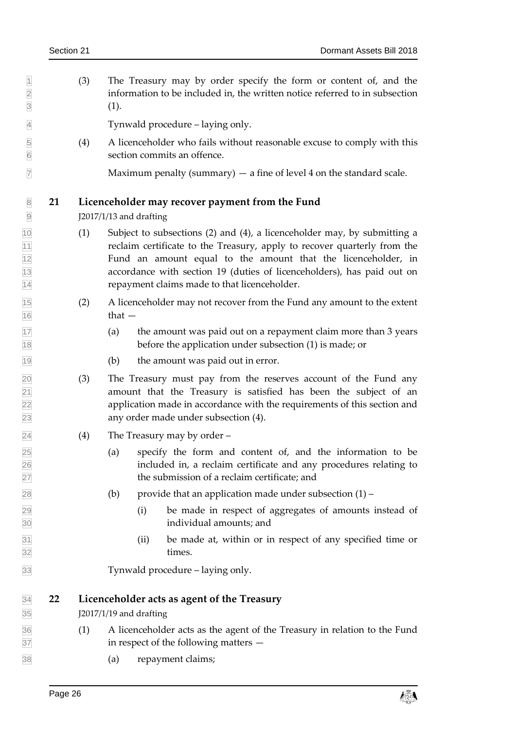$\Box$  (3) The Treasury may by order specify the form or content of, and the information to be included in, the written notice referred to in subsection  $3(1).$ 

Tynwald procedure – laying only.

 (4) A licenceholder who fails without reasonable excuse to comply with this section commits an offence.

<span id="page-25-0"></span>Maximum penalty (summary) — a fine of level 4 on the standard scale.

### **21 Licenceholder may recover payment from the Fund**

J2017/1/13 and drafting

- (1) Subject to subsections (2) and (4), a licenceholder may, by submitting a **reclaim certificate to the Treasury, apply to recover quarterly from the**  Fund an amount equal to the amount that the licenceholder, in accordance with section 19 (duties of licenceholders), has paid out on repayment claims made to that licenceholder.
- (2) A licenceholder may not recover from the Fund any amount to the extent  $\frac{16}{16}$  that —
- (a) the amount was paid out on a repayment claim more than 3 years before the application under subsection (1) is made; or
- (b) the amount was paid out in error.
- (3) The Treasury must pay from the reserves account of the Fund any amount that the Treasury is satisfied has been the subject of an application made in accordance with the requirements of this section and any order made under subsection (4).
- $\boxed{24}$  (4) The Treasury may by order –
- (a) specify the form and content of, and the information to be included in, a reclaim certificate and any procedures relating to the submission of a reclaim certificate; and
- $\boxed{28}$  (b) provide that an application made under subsection (1) –
- (i) be made in respect of aggregates of amounts instead of individual amounts; and
- (ii) be made at, within or in respect of any specified time or times.

<span id="page-25-1"></span>Tynwald procedure – laying only.

### **22 Licenceholder acts as agent of the Treasury**

J2017/1/19 and drafting

- (1) A licenceholder acts as the agent of the Treasury in relation to the Fund in respect of the following matters —
- (a) repayment claims;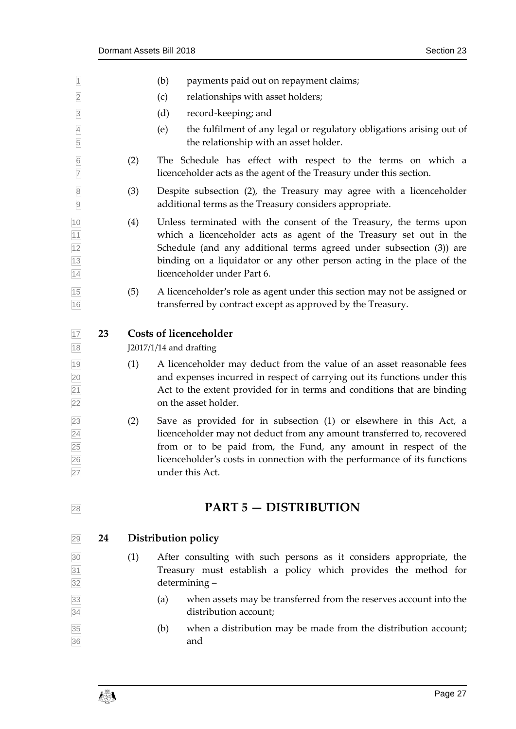<span id="page-26-0"></span>

| $\vert$ 1                                       |    |     | (b)<br>payments paid out on repayment claims;                                                                                                                                                                                                                                                                            |
|-------------------------------------------------|----|-----|--------------------------------------------------------------------------------------------------------------------------------------------------------------------------------------------------------------------------------------------------------------------------------------------------------------------------|
| $\overline{2}$                                  |    |     | relationships with asset holders;<br>(c)                                                                                                                                                                                                                                                                                 |
| $\overline{3}$                                  |    |     | (d)<br>record-keeping; and                                                                                                                                                                                                                                                                                               |
| $\overline{4}$<br>5                             |    |     | (e)<br>the fulfilment of any legal or regulatory obligations arising out of<br>the relationship with an asset holder.                                                                                                                                                                                                    |
| $\overline{6}$<br>$\overline{7}$                |    | (2) | The Schedule has effect with respect to the terms on which a<br>licenceholder acts as the agent of the Treasury under this section.                                                                                                                                                                                      |
| $\overline{8}$<br>$\overline{9}$                |    | (3) | Despite subsection (2), the Treasury may agree with a licenceholder<br>additional terms as the Treasury considers appropriate.                                                                                                                                                                                           |
| $\frac{10}{11}$ $\frac{11}{12}$ $\frac{13}{14}$ |    | (4) | Unless terminated with the consent of the Treasury, the terms upon<br>which a licenceholder acts as agent of the Treasury set out in the<br>Schedule (and any additional terms agreed under subsection (3)) are<br>binding on a liquidator or any other person acting in the place of the<br>licenceholder under Part 6. |
| 15<br>16                                        |    | (5) | A licenceholder's role as agent under this section may not be assigned or<br>transferred by contract except as approved by the Treasury.                                                                                                                                                                                 |
| $17$                                            | 23 |     | <b>Costs of licenceholder</b>                                                                                                                                                                                                                                                                                            |
| 18                                              |    |     | J2017/1/14 and drafting                                                                                                                                                                                                                                                                                                  |
| $\frac{19}{20}$<br>$\frac{21}{22}$              |    | (1) | A licenceholder may deduct from the value of an asset reasonable fees<br>and expenses incurred in respect of carrying out its functions under this<br>Act to the extent provided for in terms and conditions that are binding<br>on the asset holder.                                                                    |
| $\frac{23}{24}$<br>25<br>26<br>27               |    | (2) | Save as provided for in subsection (1) or elsewhere in this Act, a<br>licenceholder may not deduct from any amount transferred to, recovered<br>from or to be paid from, the Fund, any amount in respect of the<br>licenceholder's costs in connection with the performance of its functions<br>under this Act.          |
| $28\,$                                          |    |     | <b>PART 5 - DISTRIBUTION</b>                                                                                                                                                                                                                                                                                             |
| 29                                              | 24 |     | Distribution policy                                                                                                                                                                                                                                                                                                      |
| $\frac{30}{31}$ $\frac{31}{32}$                 |    | (1) | After consulting with such persons as it considers appropriate, the<br>Treasury must establish a policy which provides the method for<br>determining-                                                                                                                                                                    |
| $\frac{33}{34}$                                 |    |     | when assets may be transferred from the reserves account into the<br>(a)<br>distribution account;                                                                                                                                                                                                                        |

<span id="page-26-2"></span><span id="page-26-1"></span> $\frac{35}{36}$  (b) when a distribution may be made from the distribution account;<br>and and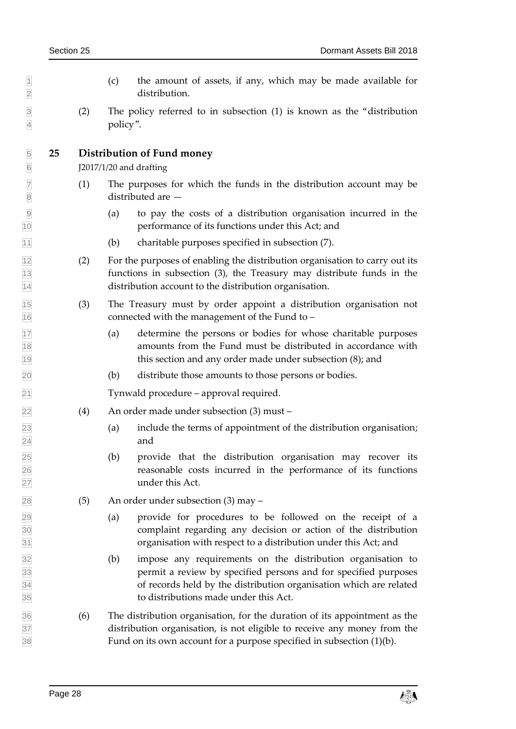- $\vert$  1 (c) the amount of assets, if any, which may be made available for distribution.
- (2) The policy referred to in subsection (1) is known as the "distribution policy".

### <span id="page-27-0"></span>**25 Distribution of Fund money**

J2017/1/20 and drafting

- $\boxed{7}$  (1) The purposes for which the funds in the distribution account may be distributed are —
- (a) to pay the costs of a distribution organisation incurred in the performance of its functions under this Act; and
- (b) charitable purposes specified in subsection (7).
- (2) For the purposes of enabling the distribution organisation to carry out its functions in subsection (3), the Treasury may distribute funds in the distribution account to the distribution organisation.
- (3) The Treasury must by order appoint a distribution organisation not connected with the management of the Fund to –
- (a) determine the persons or bodies for whose charitable purposes amounts from the Fund must be distributed in accordance with this section and any order made under subsection (8); and
- (b) distribute those amounts to those persons or bodies.

Tynwald procedure – approval required.

- (4) An order made under subsection (3) must –
- (a) include the terms of appointment of the distribution organisation; 24 and
- (b) provide that the distribution organisation may recover its reasonable costs incurred in the performance of its functions under this Act.
- $\sqrt{28}$  (5) An order under subsection (3) may –
- (a) provide for procedures to be followed on the receipt of a complaint regarding any decision or action of the distribution organisation with respect to a distribution under this Act; and
- (b) impose any requirements on the distribution organisation to permit a review by specified persons and for specified purposes of records held by the distribution organisation which are related to distributions made under this Act.
- (6) The distribution organisation, for the duration of its appointment as the distribution organisation, is not eligible to receive any money from the Fund on its own account for a purpose specified in subsection (1)(b).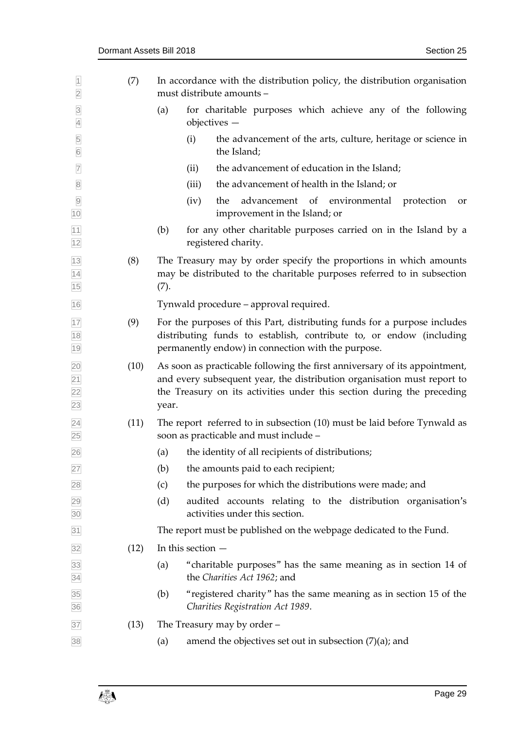| $\overline{1}$<br>$\overline{2}$               | (7)  | In accordance with the distribution policy, the distribution organisation<br>must distribute amounts -                                                                                                                                   |
|------------------------------------------------|------|------------------------------------------------------------------------------------------------------------------------------------------------------------------------------------------------------------------------------------------|
| $\overline{3}$<br>$\overline{4}$               |      | for charitable purposes which achieve any of the following<br>(a)<br>objectives -                                                                                                                                                        |
| 5<br>$\boxed{6}$                               |      | (i)<br>the advancement of the arts, culture, heritage or science in<br>the Island;                                                                                                                                                       |
| $\overline{7}$                                 |      | the advancement of education in the Island;<br>(ii)                                                                                                                                                                                      |
| $\overline{8}$                                 |      | the advancement of health in the Island; or<br>(iii)                                                                                                                                                                                     |
| $\overline{9}$<br>10                           |      | (iv)<br>advancement of environmental<br>the<br>protection<br>or<br>improvement in the Island; or                                                                                                                                         |
| 11<br>12                                       |      | for any other charitable purposes carried on in the Island by a<br>(b)<br>registered charity.                                                                                                                                            |
| 13<br>14<br>15                                 | (8)  | The Treasury may by order specify the proportions in which amounts<br>may be distributed to the charitable purposes referred to in subsection<br>(7).                                                                                    |
| 16                                             |      | Tynwald procedure - approval required.                                                                                                                                                                                                   |
| 17<br>18<br>19                                 | (9)  | For the purposes of this Part, distributing funds for a purpose includes<br>distributing funds to establish, contribute to, or endow (including<br>permanently endow) in connection with the purpose.                                    |
| 20<br>$\overline{21}$<br>$\overline{22}$<br>23 | (10) | As soon as practicable following the first anniversary of its appointment,<br>and every subsequent year, the distribution organisation must report to<br>the Treasury on its activities under this section during the preceding<br>year. |
| $\overline{24}$<br>25                          | (11) | The report referred to in subsection (10) must be laid before Tynwald as<br>soon as practicable and must include -                                                                                                                       |
| 26                                             |      | the identity of all recipients of distributions;<br>(a)                                                                                                                                                                                  |
| 27                                             |      | the amounts paid to each recipient;<br>(b)                                                                                                                                                                                               |
| 28                                             |      | the purposes for which the distributions were made; and<br>(c)                                                                                                                                                                           |
| 29<br>30                                       |      | (d)<br>audited accounts relating to the distribution organisation's<br>activities under this section.                                                                                                                                    |
| 31                                             |      | The report must be published on the webpage dedicated to the Fund.                                                                                                                                                                       |
| 32                                             | (12) | In this section $-$                                                                                                                                                                                                                      |
| 33<br>34                                       |      | "charitable purposes" has the same meaning as in section 14 of<br>(a)<br>the Charities Act 1962; and                                                                                                                                     |
| 35<br>36                                       |      | "registered charity" has the same meaning as in section 15 of the<br>(b)<br>Charities Registration Act 1989.                                                                                                                             |
| 37                                             | (13) | The Treasury may by order $-$                                                                                                                                                                                                            |
| $38$                                           |      | amend the objectives set out in subsection $(7)(a)$ ; and<br>(a)                                                                                                                                                                         |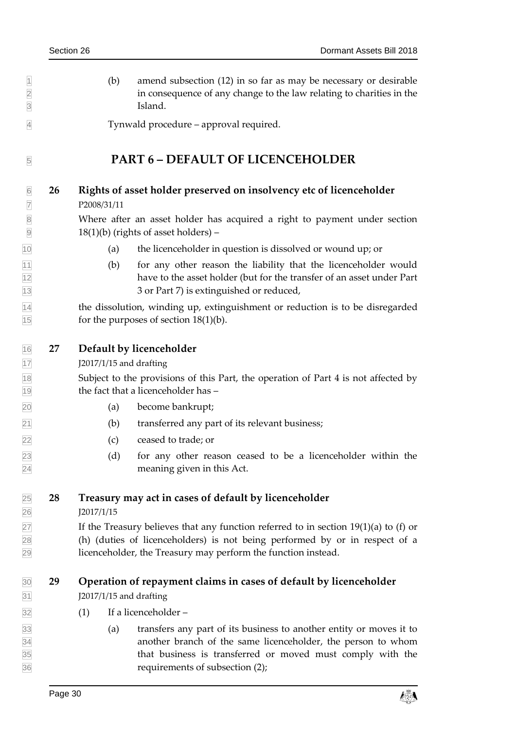$\vert$  1 (b) amend subsection (12) in so far as may be necessary or desirable in consequence of any change to the law relating to charities in the Island.

<span id="page-29-0"></span>Tynwald procedure – approval required.

# <span id="page-29-1"></span>**PART 6 – DEFAULT OF LICENCEHOLDER**

### **26 Rights of asset holder preserved on insolvency etc of licenceholder**

P2008/31/11

 Where after an asset holder has acquired a right to payment under section  $[9]$  18(1)(b) (rights of asset holders) –

- (a) the licenceholder in question is dissolved or wound up; or
- (b) for any other reason the liability that the licenceholder would have to the asset holder (but for the transfer of an asset under Part 13 3 or Part 7) is extinguished or reduced,

 the dissolution, winding up, extinguishment or reduction is to be disregarded  $\boxed{15}$  for the purposes of section 18(1)(b).

<span id="page-29-2"></span>**27 Default by licenceholder**

J2017/1/15 and drafting

 Subject to the provisions of this Part, the operation of Part 4 is not affected by the fact that a licenceholder has –

- (a) become bankrupt;
- (b) transferred any part of its relevant business;
- (c) ceased to trade; or
- (d) for any other reason ceased to be a licenceholder within the meaning given in this Act.

# <span id="page-29-3"></span>**28 Treasury may act in cases of default by licenceholder**

J2017/1/15

27 If the Treasury believes that any function referred to in section  $19(1)(a)$  to (f) or (h) (duties of licenceholders) is not being performed by or in respect of a licenceholder, the Treasury may perform the function instead.

# <span id="page-29-4"></span>**29 Operation of repayment claims in cases of default by licenceholder**

J2017/1/15 and drafting

- $\boxed{32}$  (1) If a licenceholder –
- (a) transfers any part of its business to another entity or moves it to another branch of the same licenceholder, the person to whom that business is transferred or moved must comply with the requirements of subsection (2);

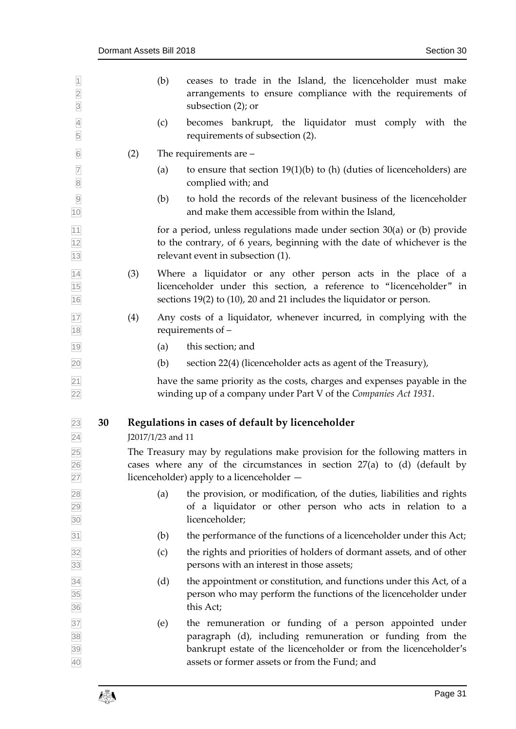<span id="page-30-0"></span>

| $\frac{1}{2}$                   |    |     | (b)               | ceases to trade in the Island, the licenceholder must make<br>arrangements to ensure compliance with the requirements of<br>subsection (2); or                                                                                            |
|---------------------------------|----|-----|-------------------|-------------------------------------------------------------------------------------------------------------------------------------------------------------------------------------------------------------------------------------------|
| $\frac{4}{5}$                   |    |     | (c)               | becomes bankrupt, the liquidator must comply with the<br>requirements of subsection (2).                                                                                                                                                  |
| $\boxed{6}$                     |    | (2) |                   | The requirements are $-$                                                                                                                                                                                                                  |
| $\frac{7}{8}$                   |    |     | (a)               | to ensure that section $19(1)(b)$ to (h) (duties of licenceholders) are<br>complied with; and                                                                                                                                             |
| $\overline{9}$<br>10            |    |     | (b)               | to hold the records of the relevant business of the licenceholder<br>and make them accessible from within the Island,                                                                                                                     |
| 11<br>12<br>$13$                |    |     |                   | for a period, unless regulations made under section $30(a)$ or (b) provide<br>to the contrary, of 6 years, beginning with the date of whichever is the<br>relevant event in subsection (1).                                               |
| $\frac{14}{15}$<br>16           |    | (3) |                   | Where a liquidator or any other person acts in the place of a<br>licenceholder under this section, a reference to "licenceholder" in<br>sections 19(2) to (10), 20 and 21 includes the liquidator or person.                              |
| 17<br>18                        |    | (4) |                   | Any costs of a liquidator, whenever incurred, in complying with the<br>requirements of -                                                                                                                                                  |
| 19                              |    |     | (a)               | this section; and                                                                                                                                                                                                                         |
| 20                              |    |     | (b)               | section 22(4) (licenceholder acts as agent of the Treasury),                                                                                                                                                                              |
| $\overline{21}$<br>22           |    |     |                   | have the same priority as the costs, charges and expenses payable in the<br>winding up of a company under Part V of the Companies Act 1931.                                                                                               |
| 23<br>$\overline{24}$           | 30 |     | J2017/1/23 and 11 | Regulations in cases of default by licenceholder                                                                                                                                                                                          |
| 25<br>$\frac{26}{27}$           |    |     |                   | The Treasury may by regulations make provision for the following matters in<br>cases where any of the circumstances in section $27(a)$ to (d) (default by<br>licenceholder) apply to a licenceholder -                                    |
| 28<br>29<br>30                  |    |     | (a)               | the provision, or modification, of the duties, liabilities and rights<br>of a liquidator or other person who acts in relation to a<br>licenceholder;                                                                                      |
| 31                              |    |     | (b)               | the performance of the functions of a licenceholder under this Act;                                                                                                                                                                       |
| 32<br>33                        |    |     | (c)               | the rights and priorities of holders of dormant assets, and of other<br>persons with an interest in those assets;                                                                                                                         |
| $\frac{34}{35}$ $\frac{35}{36}$ |    |     | (d)               | the appointment or constitution, and functions under this Act, of a<br>person who may perform the functions of the licenceholder under<br>this Act;                                                                                       |
| 37<br>38<br>39<br>40            |    |     | (e)               | the remuneration or funding of a person appointed under<br>paragraph (d), including remuneration or funding from the<br>bankrupt estate of the licenceholder or from the licenceholder's<br>assets or former assets or from the Fund; and |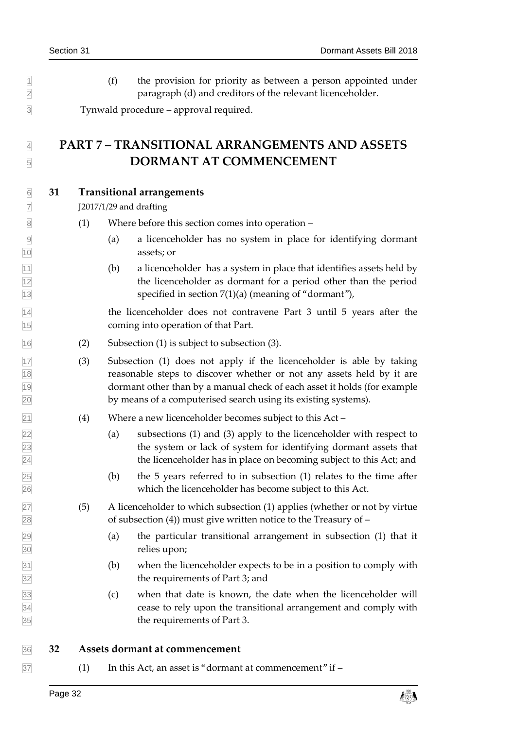$| \cdot |$  (f) the provision for priority as between a person appointed under paragraph (d) and creditors of the relevant licenceholder.

<span id="page-31-0"></span>Tynwald procedure – approval required.

# **PART 7 – TRANSITIONAL ARRANGEMENTS AND ASSETS DORMANT AT COMMENCEMENT**

### <span id="page-31-1"></span>**31 Transitional arrangements**

J2017/1/29 and drafting

- (1) Where before this section comes into operation –
- (a) a licenceholder has no system in place for identifying dormant assets; or
- $|11|$  (b) a licenceholder has a system in place that identifies assets held by the licenceholder as dormant for a period other than the period 13 specified in section 7(1)(a) (meaning of "dormant"),

 the licenceholder does not contravene Part 3 until 5 years after the coming into operation of that Part.

- (2) Subsection (1) is subject to subsection (3).
- $\frac{17}{17}$  (3) Subsection (1) does not apply if the licenceholder is able by taking reasonable steps to discover whether or not any assets held by it are dormant other than by a manual check of each asset it holds (for example by means of a computerised search using its existing systems).
- (4) Where a new licenceholder becomes subject to this Act –
- (a) subsections (1) and (3) apply to the licenceholder with respect to the system or lack of system for identifying dormant assets that the licenceholder has in place on becoming subject to this Act; and
- $\boxed{25}$  (b) the 5 years referred to in subsection (1) relates to the time after which the licenceholder has become subject to this Act.
- $\overline{27}$  (5) A licenceholder to which subsection (1) applies (whether or not by virtue  $\frac{28}{28}$  of subsection (4)) must give written notice to the Treasury of –
- (a) the particular transitional arrangement in subsection (1) that it relies upon;
- (b) when the licenceholder expects to be in a position to comply with the requirements of Part 3; and
- (c) when that date is known, the date when the licenceholder will cease to rely upon the transitional arrangement and comply with the requirements of Part 3.

<span id="page-31-2"></span>**32 Assets dormant at commencement**

 $\overline{37}$  (1) In this Act, an asset is "dormant at commencement" if –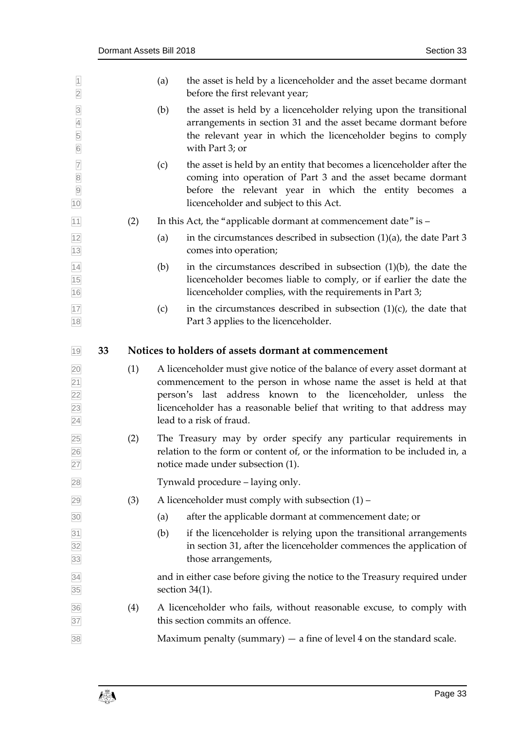<span id="page-32-0"></span>

| $\overline{1}$<br>$\overline{2}$                                  |    |     | (a) | the asset is held by a licenceholder and the asset became dormant<br>before the first relevant year;                                                                                                                                                                                                                  |
|-------------------------------------------------------------------|----|-----|-----|-----------------------------------------------------------------------------------------------------------------------------------------------------------------------------------------------------------------------------------------------------------------------------------------------------------------------|
| $\frac{3}{4}$<br>5<br>6                                           |    |     | (b) | the asset is held by a licenceholder relying upon the transitional<br>arrangements in section 31 and the asset became dormant before<br>the relevant year in which the licenceholder begins to comply<br>with Part 3; or                                                                                              |
| <b>7</b><br>8<br>9<br>10                                          |    |     | (c) | the asset is held by an entity that becomes a licenceholder after the<br>coming into operation of Part 3 and the asset became dormant<br>before the relevant year in which the entity becomes a<br>licenceholder and subject to this Act.                                                                             |
| 11                                                                |    | (2) |     | In this Act, the "applicable dormant at commencement date" is -                                                                                                                                                                                                                                                       |
| 12<br>13                                                          |    |     | (a) | in the circumstances described in subsection $(1)(a)$ , the date Part 3<br>comes into operation;                                                                                                                                                                                                                      |
| $\frac{14}{15}$<br>16                                             |    |     | (b) | in the circumstances described in subsection $(1)(b)$ , the date the<br>licenceholder becomes liable to comply, or if earlier the date the<br>licenceholder complies, with the requirements in Part 3;                                                                                                                |
| 17<br>18                                                          |    |     | (c) | in the circumstances described in subsection $(1)(c)$ , the date that<br>Part 3 applies to the licenceholder.                                                                                                                                                                                                         |
| $19$                                                              | 33 |     |     | Notices to holders of assets dormant at commencement                                                                                                                                                                                                                                                                  |
|                                                                   |    |     |     |                                                                                                                                                                                                                                                                                                                       |
| $\overline{20}$<br>$\overline{21}$<br>22<br>23<br>$\overline{24}$ |    | (1) |     | A licenceholder must give notice of the balance of every asset dormant at<br>commencement to the person in whose name the asset is held at that<br>person's last address known to the licenceholder, unless the<br>licenceholder has a reasonable belief that writing to that address may<br>lead to a risk of fraud. |
| 25<br>26<br>27                                                    |    | (2) |     | The Treasury may by order specify any particular requirements in<br>relation to the form or content of, or the information to be included in, a<br>notice made under subsection (1).                                                                                                                                  |
| 28                                                                |    |     |     | Tynwald procedure – laying only.                                                                                                                                                                                                                                                                                      |
| 29                                                                |    | (3) |     | A licenceholder must comply with subsection $(1)$ –                                                                                                                                                                                                                                                                   |
| 30                                                                |    |     | (a) | after the applicable dormant at commencement date; or                                                                                                                                                                                                                                                                 |
| $\overline{31}$<br>32<br>33                                       |    |     | (b) | if the licenceholder is relying upon the transitional arrangements<br>in section 31, after the licenceholder commences the application of<br>those arrangements,                                                                                                                                                      |
| 34<br>35                                                          |    |     |     | and in either case before giving the notice to the Treasury required under<br>section $34(1)$ .                                                                                                                                                                                                                       |
| 36<br>37                                                          |    | (4) |     | A licenceholder who fails, without reasonable excuse, to comply with<br>this section commits an offence.                                                                                                                                                                                                              |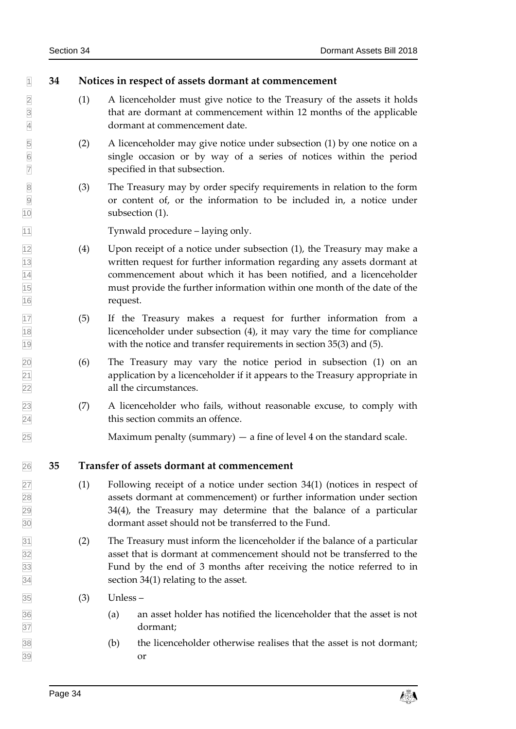### <span id="page-33-0"></span>**34 Notices in respect of assets dormant at commencement**

- 2 (1) A licenceholder must give notice to the Treasury of the assets it holds<br>that are dormant at commencement within 12 months of the applicable that are dormant at commencement within 12 months of the applicable dormant at commencement date.
- (2) A licenceholder may give notice under subsection (1) by one notice on a single occasion or by way of a series of notices within the period specified in that subsection.
- (3) The Treasury may by order specify requirements in relation to the form or content of, or the information to be included in, a notice under subsection (1).

Tynwald procedure – laying only.

- $\sqrt{12}$  (4) Upon receipt of a notice under subsection (1), the Treasury may make a written request for further information regarding any assets dormant at commencement about which it has been notified, and a licenceholder must provide the further information within one month of the date of the request.
- (5) If the Treasury makes a request for further information from a licenceholder under subsection (4), it may vary the time for compliance with the notice and transfer requirements in section 35(3) and (5).
- (6) The Treasury may vary the notice period in subsection (1) on an application by a licenceholder if it appears to the Treasury appropriate in all the circumstances.
- (7) A licenceholder who fails, without reasonable excuse, to comply with this section commits an offence.

<span id="page-33-1"></span> $\sqrt{25}$  Maximum penalty (summary) — a fine of level 4 on the standard scale.

# **35 Transfer of assets dormant at commencement**

- $\sqrt{27}$  (1) Following receipt of a notice under section 34(1) (notices in respect of assets dormant at commencement) or further information under section 34(4), the Treasury may determine that the balance of a particular dormant asset should not be transferred to the Fund.
- (2) The Treasury must inform the licenceholder if the balance of a particular asset that is dormant at commencement should not be transferred to the Fund by the end of 3 months after receiving the notice referred to in section 34(1) relating to the asset.
- (3) Unless –
- (a) an asset holder has notified the licenceholder that the asset is not dormant;
- (b) the licenceholder otherwise realises that the asset is not dormant; or

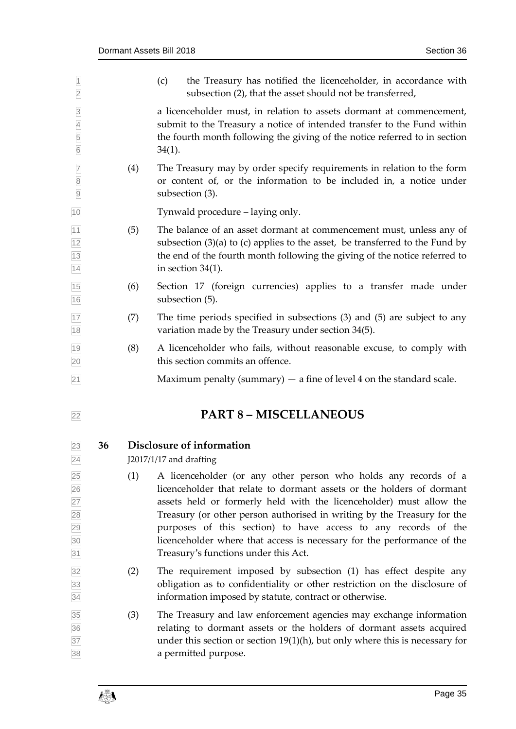<span id="page-34-1"></span><span id="page-34-0"></span>

| $\overline{1}$<br>$\overline{\mathbf{2}}$             |    |     | the Treasury has notified the licenceholder, in accordance with<br>(c)<br>subsection (2), that the asset should not be transferred,                                                                                                                                                                                                                                                                                                                                             |
|-------------------------------------------------------|----|-----|---------------------------------------------------------------------------------------------------------------------------------------------------------------------------------------------------------------------------------------------------------------------------------------------------------------------------------------------------------------------------------------------------------------------------------------------------------------------------------|
| $\overline{3}$<br>$\overline{4}$<br>5<br>$\boxed{6}$  |    |     | a licenceholder must, in relation to assets dormant at commencement,<br>submit to the Treasury a notice of intended transfer to the Fund within<br>the fourth month following the giving of the notice referred to in section<br>$34(1)$ .                                                                                                                                                                                                                                      |
| $\overline{7}$<br>$\overline{8}$<br>$\overline{9}$    |    | (4) | The Treasury may by order specify requirements in relation to the form<br>or content of, or the information to be included in, a notice under<br>subsection (3).                                                                                                                                                                                                                                                                                                                |
| 10                                                    |    |     | Tynwald procedure – laying only.                                                                                                                                                                                                                                                                                                                                                                                                                                                |
| $\frac{11}{12}$<br>$\frac{12}{13}$<br>$\frac{13}{14}$ |    | (5) | The balance of an asset dormant at commencement must, unless any of<br>subsection $(3)(a)$ to $(c)$ applies to the asset, be transferred to the Fund by<br>the end of the fourth month following the giving of the notice referred to<br>in section $34(1)$ .                                                                                                                                                                                                                   |
| $\frac{15}{16}$                                       |    | (6) | Section 17 (foreign currencies) applies to a transfer made under<br>subsection (5).                                                                                                                                                                                                                                                                                                                                                                                             |
| $\frac{17}{18}$                                       |    | (7) | The time periods specified in subsections (3) and (5) are subject to any<br>variation made by the Treasury under section 34(5).                                                                                                                                                                                                                                                                                                                                                 |
| $\frac{19}{20}$                                       |    | (8) | A licenceholder who fails, without reasonable excuse, to comply with<br>this section commits an offence.                                                                                                                                                                                                                                                                                                                                                                        |
| 21                                                    |    |     | Maximum penalty (summary) $-$ a fine of level 4 on the standard scale.                                                                                                                                                                                                                                                                                                                                                                                                          |
| 22                                                    |    |     | <b>PART 8 - MISCELLANEOUS</b>                                                                                                                                                                                                                                                                                                                                                                                                                                                   |
| 23<br>24                                              | 36 |     | Disclosure of information<br>J2017/1/17 and drafting                                                                                                                                                                                                                                                                                                                                                                                                                            |
| 25 26 27 28 29 30 31                                  |    | (1) | A licenceholder (or any other person who holds any records of a<br>licenceholder that relate to dormant assets or the holders of dormant<br>assets held or formerly held with the licenceholder) must allow the<br>Treasury (or other person authorised in writing by the Treasury for the<br>purposes of this section) to have access to any records of the<br>licenceholder where that access is necessary for the performance of the<br>Treasury's functions under this Act. |
| $\overline{32}$<br>33<br>34                           |    | (2) | The requirement imposed by subsection (1) has effect despite any<br>obligation as to confidentiality or other restriction on the disclosure of<br>information imposed by statute, contract or otherwise.                                                                                                                                                                                                                                                                        |
| 35<br>36<br>37<br>38                                  |    | (3) | The Treasury and law enforcement agencies may exchange information<br>relating to dormant assets or the holders of dormant assets acquired<br>under this section or section $19(1)(h)$ , but only where this is necessary for<br>a permitted purpose.                                                                                                                                                                                                                           |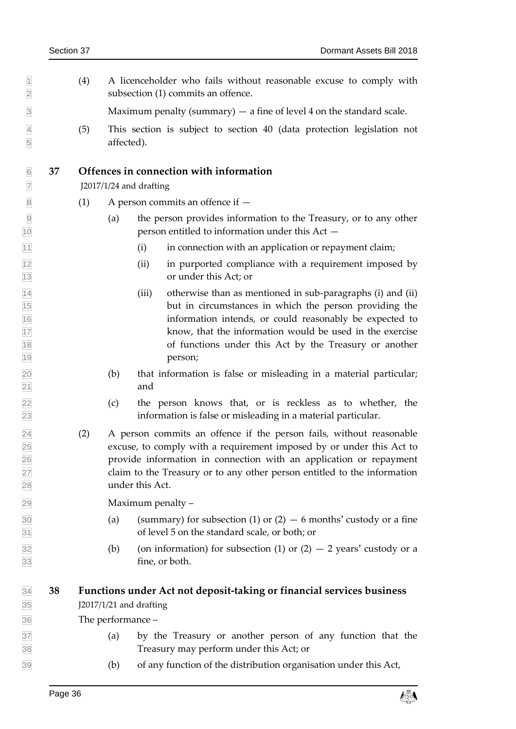$|1 \rangle$  (4) A licenceholder who fails without reasonable excuse to comply with subsection (1) commits an offence.

 $\beta$  Maximum penalty (summary)  $-$  a fine of level 4 on the standard scale.

 (5) This section is subject to section 40 (data protection legislation not affected).

#### <span id="page-35-0"></span>**37 Offences in connection with information**

J2017/1/24 and drafting

- $8 \qquad (1) \qquad A$  person commits an offence if  $-$
- (a) the person provides information to the Treasury, or to any other person entitled to information under this Act —
- $\begin{array}{r} \n\boxed{11} \\
\end{array}$  (i) in connection with an application or repayment claim;
- (ii) in purported compliance with a requirement imposed by or under this Act; or
- $\overline{14}$  (iii) otherwise than as mentioned in sub-paragraphs (i) and (ii) but in circumstances in which the person providing the information intends, or could reasonably be expected to know, that the information would be used in the exercise of functions under this Act by the Treasury or another person;
- (b) that information is false or misleading in a material particular; 21 and
- (c) the person knows that, or is reckless as to whether, the information is false or misleading in a material particular.
- (2) A person commits an offence if the person fails, without reasonable excuse, to comply with a requirement imposed by or under this Act to provide information in connection with an application or repayment claim to the Treasury or to any other person entitled to the information under this Act.

Maximum penalty –

- $\frac{30}{30}$  (a) (summary) for subsection (1) or (2)  $-6$  months' custody or a fine of level 5 on the standard scale, or both; or
- $\overline{32}$  (b) (on information) for subsection (1) or (2)  $-$  2 years' custody or a fine, or both.

#### <span id="page-35-1"></span> **38 Functions under Act not deposit-taking or financial services business** J2017/1/21 and drafting

The performance –

- (a) by the Treasury or another person of any function that the Treasury may perform under this Act; or
- (b) of any function of the distribution organisation under this Act,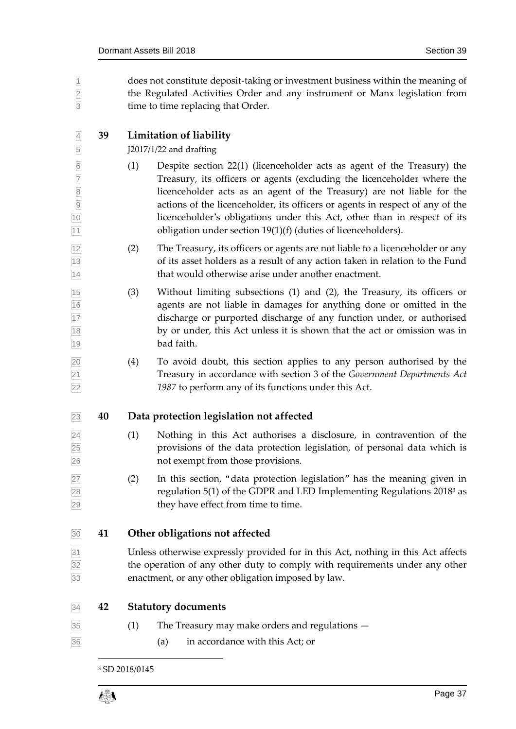<span id="page-36-0"></span>

| $\overline{1}$<br>$\overline{2}$<br>$\overline{3}$                                                             |    | does not constitute deposit-taking or investment business within the meaning of<br>the Regulated Activities Order and any instrument or Manx legislation from<br>time to time replacing that Order.                   |                                                                                                                                                                                                                                                                                                                                                                                                                                                            |  |  |
|----------------------------------------------------------------------------------------------------------------|----|-----------------------------------------------------------------------------------------------------------------------------------------------------------------------------------------------------------------------|------------------------------------------------------------------------------------------------------------------------------------------------------------------------------------------------------------------------------------------------------------------------------------------------------------------------------------------------------------------------------------------------------------------------------------------------------------|--|--|
| $\overline{4}$                                                                                                 | 39 | Limitation of liability                                                                                                                                                                                               |                                                                                                                                                                                                                                                                                                                                                                                                                                                            |  |  |
| 5                                                                                                              |    |                                                                                                                                                                                                                       | J2017/1/22 and drafting                                                                                                                                                                                                                                                                                                                                                                                                                                    |  |  |
| $6\overline{6}$<br>$\overline{7}$<br>$\begin{array}{c}\n 8 \\  \hline\n 9 \\  \hline\n 10\n \end{array}$<br>11 |    | (1)                                                                                                                                                                                                                   | Despite section 22(1) (licenceholder acts as agent of the Treasury) the<br>Treasury, its officers or agents (excluding the licenceholder where the<br>licenceholder acts as an agent of the Treasury) are not liable for the<br>actions of the licenceholder, its officers or agents in respect of any of the<br>licenceholder's obligations under this Act, other than in respect of its<br>obligation under section 19(1)(f) (duties of licenceholders). |  |  |
| $\frac{12}{13}$ $\frac{14}{14}$                                                                                |    | (2)                                                                                                                                                                                                                   | The Treasury, its officers or agents are not liable to a licenceholder or any<br>of its asset holders as a result of any action taken in relation to the Fund<br>that would otherwise arise under another enactment.                                                                                                                                                                                                                                       |  |  |
| 15<br>16<br>17<br>18<br>19                                                                                     |    | (3)                                                                                                                                                                                                                   | Without limiting subsections (1) and (2), the Treasury, its officers or<br>agents are not liable in damages for anything done or omitted in the<br>discharge or purported discharge of any function under, or authorised<br>by or under, this Act unless it is shown that the act or omission was in<br>bad faith.                                                                                                                                         |  |  |
| $\frac{20}{21}$<br>$\frac{21}{22}$                                                                             |    | (4)                                                                                                                                                                                                                   | To avoid doubt, this section applies to any person authorised by the<br>Treasury in accordance with section 3 of the Government Departments Act<br>1987 to perform any of its functions under this Act.                                                                                                                                                                                                                                                    |  |  |
| 23                                                                                                             | 40 |                                                                                                                                                                                                                       | Data protection legislation not affected                                                                                                                                                                                                                                                                                                                                                                                                                   |  |  |
| $\frac{24}{25}$<br>$\frac{25}{26}$                                                                             |    | (1)                                                                                                                                                                                                                   | Nothing in this Act authorises a disclosure, in contravention of the<br>provisions of the data protection legislation, of personal data which is<br>not exempt from those provisions.                                                                                                                                                                                                                                                                      |  |  |
| 27<br>28<br>29                                                                                                 |    | (2)                                                                                                                                                                                                                   | In this section, "data protection legislation" has the meaning given in<br>regulation 5(1) of the GDPR and LED Implementing Regulations 2018 <sup>3</sup> as<br>they have effect from time to time.                                                                                                                                                                                                                                                        |  |  |
| 30                                                                                                             | 41 |                                                                                                                                                                                                                       | Other obligations not affected                                                                                                                                                                                                                                                                                                                                                                                                                             |  |  |
| $\frac{31}{32}$<br>33                                                                                          |    | Unless otherwise expressly provided for in this Act, nothing in this Act affects<br>the operation of any other duty to comply with requirements under any other<br>enactment, or any other obligation imposed by law. |                                                                                                                                                                                                                                                                                                                                                                                                                                                            |  |  |
| 34                                                                                                             | 42 |                                                                                                                                                                                                                       | <b>Statutory documents</b>                                                                                                                                                                                                                                                                                                                                                                                                                                 |  |  |
| 35                                                                                                             |    | (1)                                                                                                                                                                                                                   | The Treasury may make orders and regulations $-$                                                                                                                                                                                                                                                                                                                                                                                                           |  |  |
| 36                                                                                                             |    |                                                                                                                                                                                                                       | in accordance with this Act; or<br>(a)                                                                                                                                                                                                                                                                                                                                                                                                                     |  |  |
|                                                                                                                |    |                                                                                                                                                                                                                       |                                                                                                                                                                                                                                                                                                                                                                                                                                                            |  |  |

<span id="page-36-3"></span><span id="page-36-2"></span><span id="page-36-1"></span>SD 2018/0145

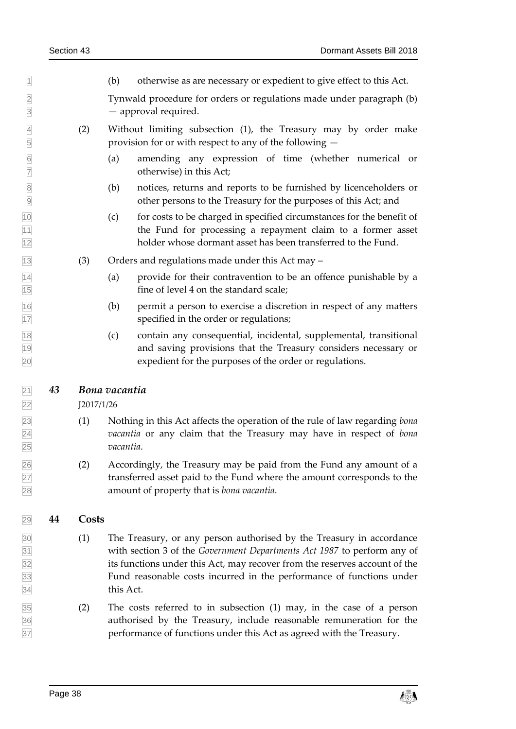$| \cdot |$  (b) otherwise as are necessary or expedient to give effect to this Act.

 Tynwald procedure for orders or regulations made under paragraph (b) — approval required.

- (2) Without limiting subsection (1), the Treasury may by order make provision for or with respect to any of the following —
- (a) amending any expression of time (whether numerical or otherwise) in this Act;
- (b) notices, returns and reports to be furnished by licenceholders or other persons to the Treasury for the purposes of this Act; and
- (c) for costs to be charged in specified circumstances for the benefit of the Fund for processing a repayment claim to a former asset holder whose dormant asset has been transferred to the Fund.
- (3) Orders and regulations made under this Act may –
- (a) provide for their contravention to be an offence punishable by a fine of level 4 on the standard scale;
- (b) permit a person to exercise a discretion in respect of any matters specified in the order or regulations;
- (c) contain any consequential, incidental, supplemental, transitional and saving provisions that the Treasury considers necessary or expedient for the purposes of the order or regulations.

### <span id="page-37-0"></span>*43 Bona vacantia*

J2017/1/26

- (1) Nothing in this Act affects the operation of the rule of law regarding *bona vacantia* or any claim that the Treasury may have in respect of *bona vacantia*.
- $\frac{26}{10}$  (2) Accordingly, the Treasury may be paid from the Fund any amount of a transferred asset paid to the Fund where the amount corresponds to the amount of property that is *bona vacantia*.

### <span id="page-37-1"></span>**44 Costs**

- (1) The Treasury, or any person authorised by the Treasury in accordance with section 3 of the *Government Departments Act 1987* to perform any of its functions under this Act, may recover from the reserves account of the Fund reasonable costs incurred in the performance of functions under this Act.
- (2) The costs referred to in subsection (1) may, in the case of a person authorised by the Treasury, include reasonable remuneration for the performance of functions under this Act as agreed with the Treasury.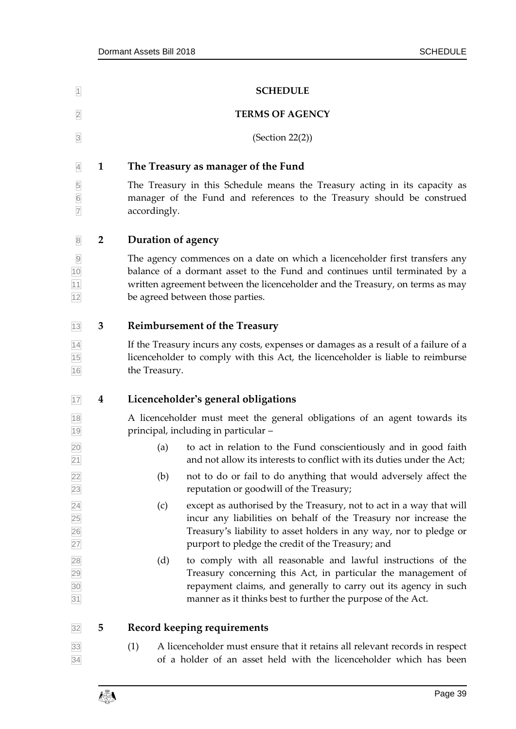<span id="page-38-1"></span><span id="page-38-0"></span>

| $\vert$ 1                         |                         | <b>SCHEDULE</b>        |                                                                                                                                                                                                                                                                                |  |  |
|-----------------------------------|-------------------------|------------------------|--------------------------------------------------------------------------------------------------------------------------------------------------------------------------------------------------------------------------------------------------------------------------------|--|--|
| $\overline{2}$                    |                         | <b>TERMS OF AGENCY</b> |                                                                                                                                                                                                                                                                                |  |  |
| $\overline{\mathbf{3}}$           |                         |                        | (Section 22(2))                                                                                                                                                                                                                                                                |  |  |
| $\overline{4}$                    | $\mathbf{1}$            |                        | The Treasury as manager of the Fund                                                                                                                                                                                                                                            |  |  |
| 5<br>6<br>7                       |                         | accordingly.           | The Treasury in this Schedule means the Treasury acting in its capacity as<br>manager of the Fund and references to the Treasury should be construed                                                                                                                           |  |  |
| $\sqrt{8}$                        | $\overline{\mathbf{2}}$ | Duration of agency     |                                                                                                                                                                                                                                                                                |  |  |
| $\overline{9}$<br>10<br>11<br>12  |                         |                        | The agency commences on a date on which a licenceholder first transfers any<br>balance of a dormant asset to the Fund and continues until terminated by a<br>written agreement between the licenceholder and the Treasury, on terms as may<br>be agreed between those parties. |  |  |
| 13                                | 3                       |                        | <b>Reimbursement of the Treasury</b>                                                                                                                                                                                                                                           |  |  |
| 14<br>15<br>16                    |                         | the Treasury.          | If the Treasury incurs any costs, expenses or damages as a result of a failure of a<br>licenceholder to comply with this Act, the licenceholder is liable to reimburse                                                                                                         |  |  |
| 17                                | 4                       |                        | Licenceholder's general obligations                                                                                                                                                                                                                                            |  |  |
| 18<br>19                          |                         |                        | A licenceholder must meet the general obligations of an agent towards its<br>principal, including in particular -                                                                                                                                                              |  |  |
| 20<br>21                          |                         | (a)                    | to act in relation to the Fund conscientiously and in good faith<br>and not allow its interests to conflict with its duties under the Act;                                                                                                                                     |  |  |
| 22 <br>23                         |                         | (b)                    | not to do or fail to do anything that would adversely affect the<br>reputation or goodwill of the Treasury;                                                                                                                                                                    |  |  |
| $\overline{24}$<br>25<br>26<br>27 |                         | (c)                    | except as authorised by the Treasury, not to act in a way that will<br>incur any liabilities on behalf of the Treasury nor increase the<br>Treasury's liability to asset holders in any way, nor to pledge or<br>purport to pledge the credit of the Treasury; and             |  |  |
| 28<br>29<br>30<br>31              |                         | (d)                    | to comply with all reasonable and lawful instructions of the<br>Treasury concerning this Act, in particular the management of<br>repayment claims, and generally to carry out its agency in such<br>manner as it thinks best to further the purpose of the Act.                |  |  |
| 32                                | 5                       |                        | Record keeping requirements                                                                                                                                                                                                                                                    |  |  |
| $\frac{33}{34}$                   |                         | (1)                    | A licenceholder must ensure that it retains all relevant records in respect<br>of a holder of an asset held with the licenceholder which has been                                                                                                                              |  |  |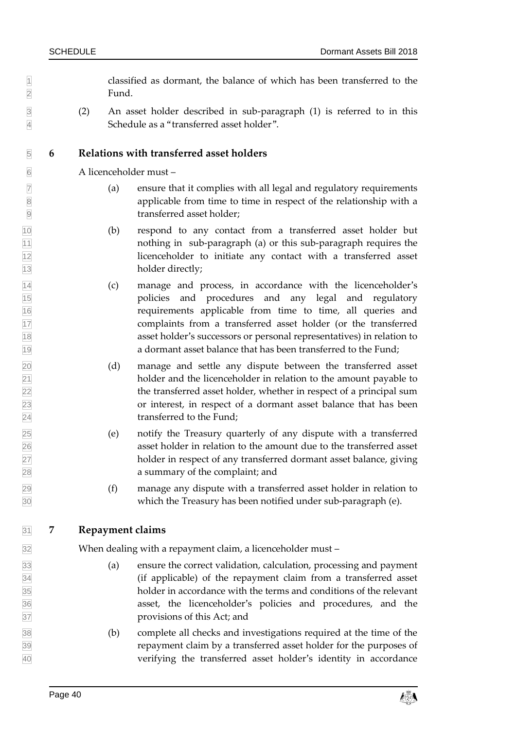$\mathbb{1}$  classified as dormant, the balance of which has been transferred to the Fund.

 (2) An asset holder described in sub-paragraph (1) is referred to in this Schedule as a "transferred asset holder".

#### **6 Relations with transferred asset holders**

A licenceholder must –

- (a) ensure that it complies with all legal and regulatory requirements applicable from time to time in respect of the relationship with a transferred asset holder;
- (b) respond to any contact from a transferred asset holder but nothing in sub-paragraph (a) or this sub-paragraph requires the licenceholder to initiate any contact with a transferred asset 13 holder directly;
- (c) manage and process, in accordance with the licenceholder's policies and procedures and any legal and regulatory requirements applicable from time to time, all queries and complaints from a transferred asset holder (or the transferred asset holder's successors or personal representatives) in relation to a dormant asset balance that has been transferred to the Fund;
- (d) manage and settle any dispute between the transferred asset holder and the licenceholder in relation to the amount payable to the transferred asset holder, whether in respect of a principal sum or interest, in respect of a dormant asset balance that has been transferred to the Fund;
- (e) notify the Treasury quarterly of any dispute with a transferred asset holder in relation to the amount due to the transferred asset holder in respect of any transferred dormant asset balance, giving a summary of the complaint; and
- (f) manage any dispute with a transferred asset holder in relation to which the Treasury has been notified under sub-paragraph (e).

#### **7 Repayment claims**

When dealing with a repayment claim, a licenceholder must –

- (a) ensure the correct validation, calculation, processing and payment (if applicable) of the repayment claim from a transferred asset holder in accordance with the terms and conditions of the relevant asset, the licenceholder's policies and procedures, and the provisions of this Act; and
- (b) complete all checks and investigations required at the time of the repayment claim by a transferred asset holder for the purposes of verifying the transferred asset holder's identity in accordance

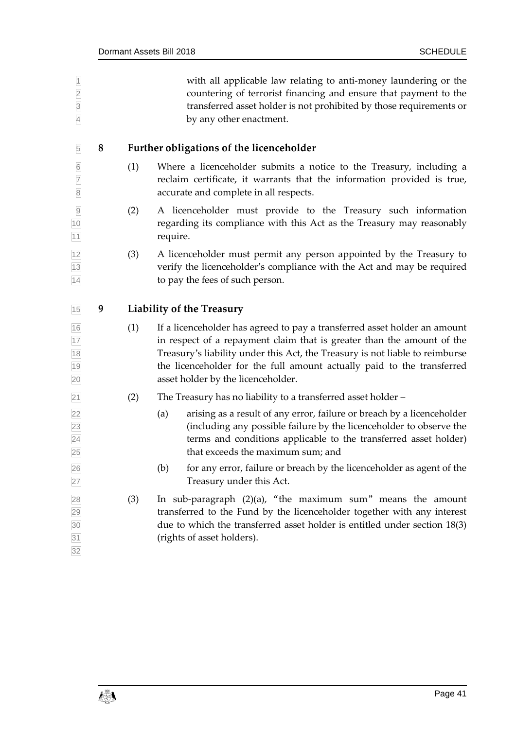| $\frac{1}{2}$ $\frac{1}{3}$ $\frac{1}{4}$ |   |     | with all applicable law relating to anti-money laundering or the<br>countering of terrorist financing and ensure that payment to the<br>transferred asset holder is not prohibited by those requirements or<br>by any other enactment.                                                                                                              |
|-------------------------------------------|---|-----|-----------------------------------------------------------------------------------------------------------------------------------------------------------------------------------------------------------------------------------------------------------------------------------------------------------------------------------------------------|
| $\overline{5}$                            | 8 |     | <b>Further obligations of the licenceholder</b>                                                                                                                                                                                                                                                                                                     |
| 6<br>7<br>8                               |   | (1) | Where a licenceholder submits a notice to the Treasury, including a<br>reclaim certificate, it warrants that the information provided is true,<br>accurate and complete in all respects.                                                                                                                                                            |
| $\overline{9}$<br>10<br>11                |   | (2) | A licenceholder must provide to the Treasury such information<br>regarding its compliance with this Act as the Treasury may reasonably<br>require.                                                                                                                                                                                                  |
| $\frac{12}{13}$<br>14                     |   | (3) | A licenceholder must permit any person appointed by the Treasury to<br>verify the licenceholder's compliance with the Act and may be required<br>to pay the fees of such person.                                                                                                                                                                    |
| 15                                        | 9 |     | <b>Liability of the Treasury</b>                                                                                                                                                                                                                                                                                                                    |
| 16<br>17<br>18<br>19<br>20                |   | (1) | If a licenceholder has agreed to pay a transferred asset holder an amount<br>in respect of a repayment claim that is greater than the amount of the<br>Treasury's liability under this Act, the Treasury is not liable to reimburse<br>the licenceholder for the full amount actually paid to the transferred<br>asset holder by the licenceholder. |
| 21                                        |   | (2) | The Treasury has no liability to a transferred asset holder -                                                                                                                                                                                                                                                                                       |
| 22<br>23<br>$\frac{24}{25}$               |   |     | arising as a result of any error, failure or breach by a licenceholder<br>(a)<br>(including any possible failure by the licenceholder to observe the<br>terms and conditions applicable to the transferred asset holder)<br>that exceeds the maximum sum; and                                                                                       |
| 26<br>27                                  |   |     | for any error, failure or breach by the licenceholder as agent of the<br>(b)<br>Treasury under this Act.                                                                                                                                                                                                                                            |
| 28<br>29<br>30<br>31<br>32<br>32          |   | (3) | In sub-paragraph $(2)(a)$ , "the maximum sum" means the amount<br>transferred to the Fund by the licenceholder together with any interest<br>due to which the transferred asset holder is entitled under section 18(3)<br>(rights of asset holders).                                                                                                |